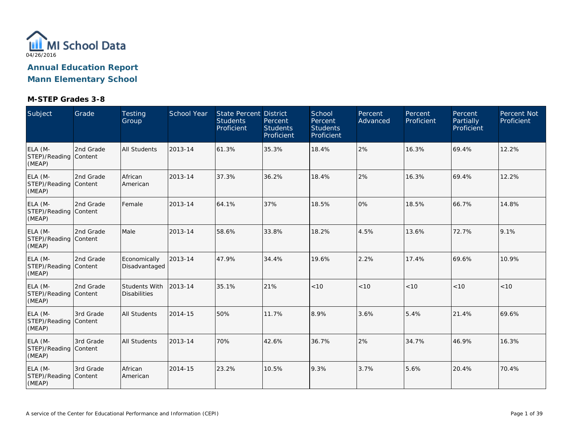

| Subject                                    | Grade     | Testing<br>Group                     | School Year | State Percent District<br><b>Students</b><br>Proficient | Percent<br><b>Students</b><br>Proficient | School<br>Percent<br><b>Students</b><br>Proficient | Percent<br>Advanced | Percent<br>Proficient | Percent<br>Partially<br>Proficient | Percent Not<br>Proficient |
|--------------------------------------------|-----------|--------------------------------------|-------------|---------------------------------------------------------|------------------------------------------|----------------------------------------------------|---------------------|-----------------------|------------------------------------|---------------------------|
| ELA (M-<br>STEP)/Reading Content<br>(MEAP) | 2nd Grade | <b>All Students</b>                  | 2013-14     | 61.3%                                                   | 35.3%                                    | 18.4%                                              | 2%                  | 16.3%                 | 69.4%                              | 12.2%                     |
| ELA (M-<br>STEP)/Reading Content<br>(MEAP) | 2nd Grade | African<br>American                  | 2013-14     | 37.3%                                                   | 36.2%                                    | 18.4%                                              | 2%                  | 16.3%                 | 69.4%                              | 12.2%                     |
| ELA (M-<br>STEP)/Reading Content<br>(MEAP) | 2nd Grade | Female                               | 2013-14     | 64.1%                                                   | 37%                                      | 18.5%                                              | 0%                  | 18.5%                 | 66.7%                              | 14.8%                     |
| ELA (M-<br>STEP)/Reading Content<br>(MEAP) | 2nd Grade | Male                                 | 2013-14     | 58.6%                                                   | 33.8%                                    | 18.2%                                              | 4.5%                | 13.6%                 | 72.7%                              | 9.1%                      |
| ELA (M-<br>STEP)/Reading Content<br>(MEAP) | 2nd Grade | Economically<br>Disadvantaged        | 2013-14     | 47.9%                                                   | 34.4%                                    | 19.6%                                              | 2.2%                | 17.4%                 | 69.6%                              | 10.9%                     |
| ELA (M-<br>STEP)/Reading Content<br>(MEAP) | 2nd Grade | Students With<br><b>Disabilities</b> | 2013-14     | 35.1%                                                   | 21%                                      | $<10$                                              | $<10$               | < 10                  | < 10                               | $<10$                     |
| ELA (M-<br>STEP)/Reading Content<br>(MEAP) | 3rd Grade | <b>All Students</b>                  | 2014-15     | 50%                                                     | 11.7%                                    | 8.9%                                               | 3.6%                | 5.4%                  | 21.4%                              | 69.6%                     |
| ELA (M-<br>STEP)/Reading Content<br>(MEAP) | 3rd Grade | <b>All Students</b>                  | 2013-14     | 70%                                                     | 42.6%                                    | 36.7%                                              | 2%                  | 34.7%                 | 46.9%                              | 16.3%                     |
| ELA (M-<br>STEP)/Reading Content<br>(MEAP) | 3rd Grade | African<br>American                  | 2014-15     | 23.2%                                                   | 10.5%                                    | 9.3%                                               | 3.7%                | 5.6%                  | 20.4%                              | 70.4%                     |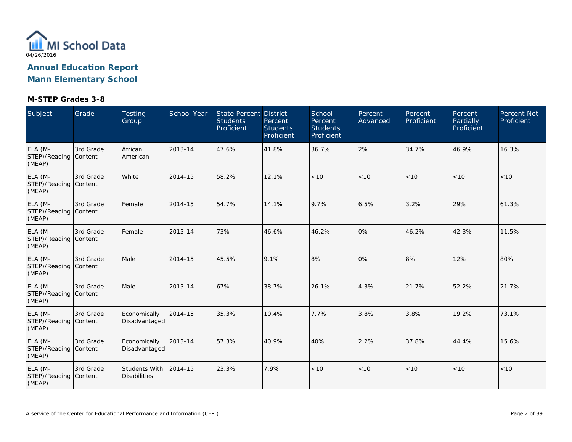

| Subject                                    | Grade     | Testing<br>Group                     | School Year | State Percent District<br><b>Students</b><br>Proficient | Percent<br><b>Students</b><br>Proficient | School<br>Percent<br><b>Students</b><br>Proficient | Percent<br>Advanced | Percent<br>Proficient | Percent<br><b>Partially</b><br>Proficient | <b>Percent Not</b><br>Proficient |
|--------------------------------------------|-----------|--------------------------------------|-------------|---------------------------------------------------------|------------------------------------------|----------------------------------------------------|---------------------|-----------------------|-------------------------------------------|----------------------------------|
| ELA (M-<br>STEP)/Reading Content<br>(MEAP) | 3rd Grade | African<br>American                  | 2013-14     | 47.6%                                                   | 41.8%                                    | 36.7%                                              | 2%                  | 34.7%                 | 46.9%                                     | 16.3%                            |
| ELA (M-<br>STEP)/Reading Content<br>(MEAP) | 3rd Grade | White                                | 2014-15     | 58.2%                                                   | 12.1%                                    | < 10                                               | < 10                | < 10                  | < 10                                      | < 10                             |
| ELA (M-<br>STEP)/Reading Content<br>(MEAP) | 3rd Grade | Female                               | 2014-15     | 54.7%                                                   | 14.1%                                    | 9.7%                                               | 6.5%                | 3.2%                  | 29%                                       | 61.3%                            |
| ELA (M-<br>STEP)/Reading Content<br>(MEAP) | 3rd Grade | Female                               | 2013-14     | 73%                                                     | 46.6%                                    | 46.2%                                              | 0%                  | 46.2%                 | 42.3%                                     | 11.5%                            |
| ELA (M-<br>STEP)/Reading Content<br>(MEAP) | 3rd Grade | Male                                 | 2014-15     | 45.5%                                                   | 9.1%                                     | 8%                                                 | 0%                  | 8%                    | 12%                                       | 80%                              |
| ELA (M-<br>STEP)/Reading Content<br>(MEAP) | 3rd Grade | Male                                 | 2013-14     | 67%                                                     | 38.7%                                    | 26.1%                                              | 4.3%                | 21.7%                 | 52.2%                                     | 21.7%                            |
| ELA (M-<br>STEP)/Reading Content<br>(MEAP) | 3rd Grade | Economically<br>Disadvantaged        | 2014-15     | 35.3%                                                   | 10.4%                                    | 7.7%                                               | 3.8%                | 3.8%                  | 19.2%                                     | 73.1%                            |
| ELA (M-<br>STEP)/Reading Content<br>(MEAP) | 3rd Grade | Economically<br>Disadvantaged        | 2013-14     | 57.3%                                                   | 40.9%                                    | 40%                                                | 2.2%                | 37.8%                 | 44.4%                                     | 15.6%                            |
| ELA (M-<br>STEP)/Reading Content<br>(MEAP) | 3rd Grade | Students With<br><b>Disabilities</b> | 2014-15     | 23.3%                                                   | 7.9%                                     | < 10                                               | < 10                | < 10                  | < 10                                      | $<10$                            |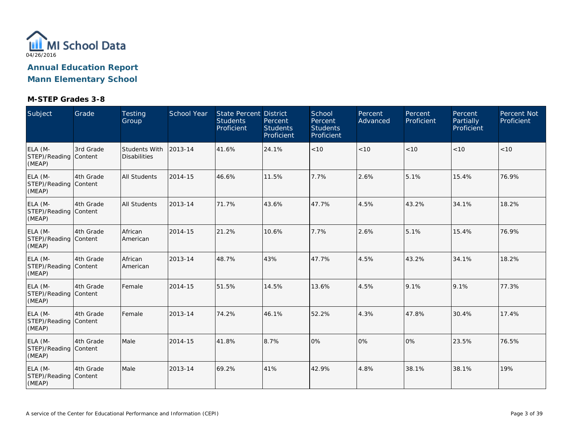

| Subject                                    | Grade     | Testing<br>Group                            | School Year | <b>State Percent District</b><br><b>Students</b><br>Proficient | Percent<br><b>Students</b><br>Proficient | School<br>Percent<br><b>Students</b><br>Proficient | Percent<br>Advanced | Percent<br>Proficient | Percent<br><b>Partially</b><br>Proficient | Percent Not<br>Proficient |
|--------------------------------------------|-----------|---------------------------------------------|-------------|----------------------------------------------------------------|------------------------------------------|----------------------------------------------------|---------------------|-----------------------|-------------------------------------------|---------------------------|
| ELA (M-<br>STEP)/Reading Content<br>(MEAP) | 3rd Grade | <b>Students With</b><br><b>Disabilities</b> | 2013-14     | 41.6%                                                          | 24.1%                                    | $<10$                                              | < 10                | < 10                  | < 10                                      | < 10                      |
| ELA (M-<br>STEP)/Reading Content<br>(MEAP) | 4th Grade | <b>All Students</b>                         | 2014-15     | 46.6%                                                          | 11.5%                                    | 7.7%                                               | 2.6%                | 5.1%                  | 15.4%                                     | 76.9%                     |
| ELA (M-<br>STEP)/Reading Content<br>(MEAP) | 4th Grade | <b>All Students</b>                         | 2013-14     | 71.7%                                                          | 43.6%                                    | 47.7%                                              | 4.5%                | 43.2%                 | 34.1%                                     | 18.2%                     |
| ELA (M-<br>STEP)/Reading Content<br>(MEAP) | 4th Grade | African<br>American                         | 2014-15     | 21.2%                                                          | 10.6%                                    | 7.7%                                               | 2.6%                | 5.1%                  | 15.4%                                     | 76.9%                     |
| ELA (M-<br>STEP)/Reading Content<br>(MEAP) | 4th Grade | African<br>American                         | 2013-14     | 48.7%                                                          | 43%                                      | 47.7%                                              | 4.5%                | 43.2%                 | 34.1%                                     | 18.2%                     |
| ELA (M-<br>STEP)/Reading Content<br>(MEAP) | 4th Grade | Female                                      | 2014-15     | 51.5%                                                          | 14.5%                                    | 13.6%                                              | 4.5%                | 9.1%                  | 9.1%                                      | 77.3%                     |
| ELA (M-<br>STEP)/Reading Content<br>(MEAP) | 4th Grade | Female                                      | 2013-14     | 74.2%                                                          | 46.1%                                    | 52.2%                                              | 4.3%                | 47.8%                 | 30.4%                                     | 17.4%                     |
| ELA (M-<br>STEP)/Reading Content<br>(MEAP) | 4th Grade | Male                                        | 2014-15     | 41.8%                                                          | 8.7%                                     | 0%                                                 | 0%                  | 10%                   | 23.5%                                     | 76.5%                     |
| ELA (M-<br>STEP)/Reading Content<br>(MEAP) | 4th Grade | Male                                        | 2013-14     | 69.2%                                                          | 41%                                      | 42.9%                                              | 4.8%                | 38.1%                 | 38.1%                                     | 19%                       |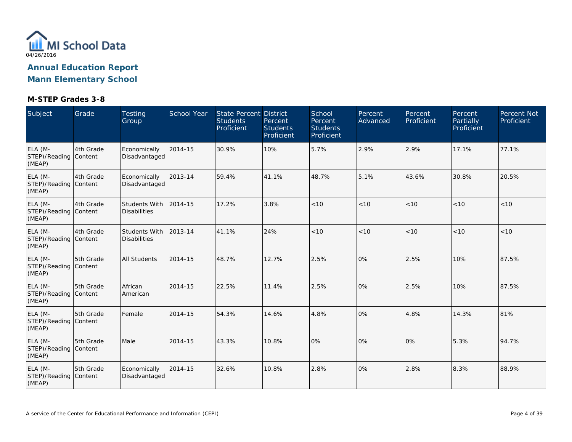

| Subject                                    | Grade     | Testing<br>Group                            | School Year | <b>State Percent District</b><br><b>Students</b><br>Proficient | Percent<br><b>Students</b><br>Proficient | School<br>Percent<br><b>Students</b><br>Proficient | Percent<br>Advanced | Percent<br>Proficient | Percent<br><b>Partially</b><br>Proficient | <b>Percent Not</b><br>Proficient |
|--------------------------------------------|-----------|---------------------------------------------|-------------|----------------------------------------------------------------|------------------------------------------|----------------------------------------------------|---------------------|-----------------------|-------------------------------------------|----------------------------------|
| ELA (M-<br>STEP)/Reading Content<br>(MEAP) | 4th Grade | Economically<br>Disadvantaged               | 2014-15     | 30.9%                                                          | 10%                                      | 5.7%                                               | 2.9%                | 2.9%                  | 17.1%                                     | 77.1%                            |
| ELA (M-<br>STEP)/Reading Content<br>(MEAP) | 4th Grade | Economically<br>Disadvantaged               | 2013-14     | 59.4%                                                          | 41.1%                                    | 48.7%                                              | 5.1%                | 43.6%                 | 30.8%                                     | 20.5%                            |
| ELA (M-<br>STEP)/Reading Content<br>(MEAP) | 4th Grade | Students With<br><b>Disabilities</b>        | 2014-15     | 17.2%                                                          | 3.8%                                     | < 10                                               | < 10                | < 10                  | < 10                                      | < 10                             |
| ELA (M-<br>STEP)/Reading Content<br>(MEAP) | 4th Grade | <b>Students With</b><br><b>Disabilities</b> | 2013-14     | 41.1%                                                          | 24%                                      | < 10                                               | < 10                | < 10                  | < 10                                      | < 10                             |
| ELA (M-<br>STEP)/Reading Content<br>(MEAP) | 5th Grade | <b>All Students</b>                         | 2014-15     | 48.7%                                                          | 12.7%                                    | 2.5%                                               | 0%                  | 2.5%                  | 10%                                       | 87.5%                            |
| ELA (M-<br>STEP)/Reading Content<br>(MEAP) | 5th Grade | African<br>American                         | 2014-15     | 22.5%                                                          | 11.4%                                    | 2.5%                                               | 0%                  | 2.5%                  | 10%                                       | 87.5%                            |
| ELA (M-<br>STEP)/Reading Content<br>(MEAP) | 5th Grade | Female                                      | 2014-15     | 54.3%                                                          | 14.6%                                    | 4.8%                                               | 0%                  | 4.8%                  | 14.3%                                     | 81%                              |
| ELA (M-<br>STEP)/Reading Content<br>(MEAP) | 5th Grade | Male                                        | 2014-15     | 43.3%                                                          | 10.8%                                    | 0%                                                 | 0%                  | 0%                    | 5.3%                                      | 94.7%                            |
| ELA (M-<br>STEP)/Reading Content<br>(MEAP) | 5th Grade | Economically<br>Disadvantaged               | 2014-15     | 32.6%                                                          | 10.8%                                    | 2.8%                                               | 0%                  | 2.8%                  | 8.3%                                      | 88.9%                            |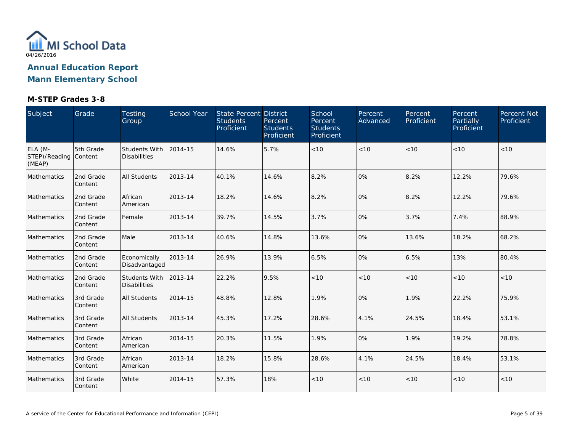

| Subject                                    | Grade                 | Testing<br>Group                     | <b>School Year</b> | <b>State Percent District</b><br><b>Students</b><br>Proficient | Percent<br><b>Students</b><br>Proficient | School<br>Percent<br><b>Students</b><br>Proficient | Percent<br>Advanced | Percent<br>Proficient | Percent<br>Partially<br>Proficient | Percent Not<br>Proficient |
|--------------------------------------------|-----------------------|--------------------------------------|--------------------|----------------------------------------------------------------|------------------------------------------|----------------------------------------------------|---------------------|-----------------------|------------------------------------|---------------------------|
| ELA (M-<br>STEP)/Reading Content<br>(MEAP) | 5th Grade             | Students With<br><b>Disabilities</b> | 2014-15            | 14.6%                                                          | 5.7%                                     | < 10                                               | < 10                | < 10                  | < 10                               | < 10                      |
| Mathematics                                | 2nd Grade<br>Content  | <b>All Students</b>                  | 2013-14            | 40.1%                                                          | 14.6%                                    | 8.2%                                               | 0%                  | 8.2%                  | 12.2%                              | 79.6%                     |
| Mathematics                                | 2nd Grade<br>Content  | African<br>American                  | 2013-14            | 18.2%                                                          | 14.6%                                    | 8.2%                                               | 0%                  | 8.2%                  | 12.2%                              | 79.6%                     |
| Mathematics                                | 2nd Grade<br>Content  | Female                               | 2013-14            | 39.7%                                                          | 14.5%                                    | 3.7%                                               | 0%                  | 3.7%                  | 7.4%                               | 88.9%                     |
| Mathematics                                | 2nd Grade<br>Content  | Male                                 | 2013-14            | 40.6%                                                          | 14.8%                                    | 13.6%                                              | 0%                  | 13.6%                 | 18.2%                              | 68.2%                     |
| Mathematics                                | 2nd Grade<br>Content  | Economically<br>Disadvantaged        | 2013-14            | 26.9%                                                          | 13.9%                                    | 6.5%                                               | 0%                  | 6.5%                  | 13%                                | 80.4%                     |
| Mathematics                                | 2nd Grade<br>Content  | Students With<br><b>Disabilities</b> | 2013-14            | 22.2%                                                          | 9.5%                                     | < 10                                               | < 10                | < 10                  | < 10                               | < 10                      |
| Mathematics                                | 3rd Grade<br>Content  | <b>All Students</b>                  | 2014-15            | 48.8%                                                          | 12.8%                                    | 1.9%                                               | 0%                  | 1.9%                  | 22.2%                              | 75.9%                     |
| Mathematics                                | 3rd Grade<br> Content | <b>All Students</b>                  | 2013-14            | 45.3%                                                          | 17.2%                                    | 28.6%                                              | 4.1%                | 24.5%                 | 18.4%                              | 53.1%                     |
| Mathematics                                | 3rd Grade<br>Content  | African<br>American                  | 2014-15            | 20.3%                                                          | 11.5%                                    | 1.9%                                               | 0%                  | 1.9%                  | 19.2%                              | 78.8%                     |
| Mathematics                                | 3rd Grade<br>Content  | African<br>American                  | 2013-14            | 18.2%                                                          | 15.8%                                    | 28.6%                                              | 4.1%                | 24.5%                 | 18.4%                              | 53.1%                     |
| Mathematics                                | 3rd Grade<br>Content  | White                                | 2014-15            | 57.3%                                                          | 18%                                      | < 10                                               | < 10                | < 10                  | < 10                               | < 10                      |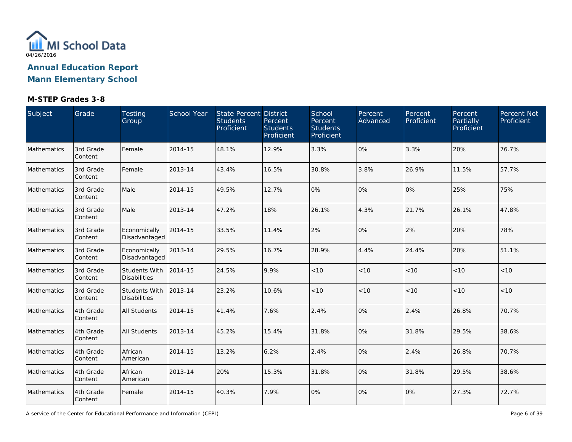

### **M-STEP Grades 3-8**

| Subject     | Grade                | Testing<br>Group                            | School Year | State Percent District<br><b>Students</b><br>Proficient | Percent<br><b>Students</b><br>Proficient | School<br>Percent<br><b>Students</b><br>Proficient | Percent<br>Advanced | Percent<br>Proficient | Percent<br>Partially<br>Proficient | Percent Not<br>Proficient |
|-------------|----------------------|---------------------------------------------|-------------|---------------------------------------------------------|------------------------------------------|----------------------------------------------------|---------------------|-----------------------|------------------------------------|---------------------------|
| Mathematics | 3rd Grade<br>Content | Female                                      | 2014-15     | 48.1%                                                   | 12.9%                                    | 3.3%                                               | 0%                  | 3.3%                  | 20%                                | 76.7%                     |
| Mathematics | 3rd Grade<br>Content | Female                                      | 2013-14     | 43.4%                                                   | 16.5%                                    | 30.8%                                              | 3.8%                | 26.9%                 | 11.5%                              | 57.7%                     |
| Mathematics | 3rd Grade<br>Content | Male                                        | 2014-15     | 49.5%                                                   | 12.7%                                    | 0%                                                 | 0%                  | 0%                    | 25%                                | 75%                       |
| Mathematics | 3rd Grade<br>Content | Male                                        | 2013-14     | 47.2%                                                   | 18%                                      | 26.1%                                              | 4.3%                | 21.7%                 | 26.1%                              | 47.8%                     |
| Mathematics | 3rd Grade<br>Content | Economically<br>Disadvantaged               | 2014-15     | 33.5%                                                   | 11.4%                                    | 2%                                                 | 0%                  | 2%                    | 20%                                | 78%                       |
| Mathematics | 3rd Grade<br>Content | Economically<br>Disadvantaged               | 2013-14     | 29.5%                                                   | 16.7%                                    | 28.9%                                              | 4.4%                | 24.4%                 | 20%                                | 51.1%                     |
| Mathematics | 3rd Grade<br>Content | <b>Students With</b><br><b>Disabilities</b> | 2014-15     | 24.5%                                                   | 9.9%                                     | < 10                                               | < 10                | < 10                  | < 10                               | < 10                      |
| Mathematics | 3rd Grade<br>Content | <b>Students With</b><br><b>Disabilities</b> | 2013-14     | 23.2%                                                   | 10.6%                                    | < 10                                               | < 10                | < 10                  | < 10                               | < 10                      |
| Mathematics | 4th Grade<br>Content | <b>All Students</b>                         | 2014-15     | 41.4%                                                   | 7.6%                                     | 2.4%                                               | 0%                  | 2.4%                  | 26.8%                              | 70.7%                     |
| Mathematics | 4th Grade<br>Content | <b>All Students</b>                         | 2013-14     | 45.2%                                                   | 15.4%                                    | 31.8%                                              | 0%                  | 31.8%                 | 29.5%                              | 38.6%                     |
| Mathematics | 4th Grade<br>Content | African<br>American                         | 2014-15     | 13.2%                                                   | 6.2%                                     | 2.4%                                               | 0%                  | 2.4%                  | 26.8%                              | 70.7%                     |
| Mathematics | 4th Grade<br>Content | African<br>American                         | 2013-14     | 20%                                                     | 15.3%                                    | 31.8%                                              | 0%                  | 31.8%                 | 29.5%                              | 38.6%                     |
| Mathematics | 4th Grade<br>Content | Female                                      | 2014-15     | 40.3%                                                   | 7.9%                                     | 0%                                                 | 0%                  | 0%                    | 27.3%                              | 72.7%                     |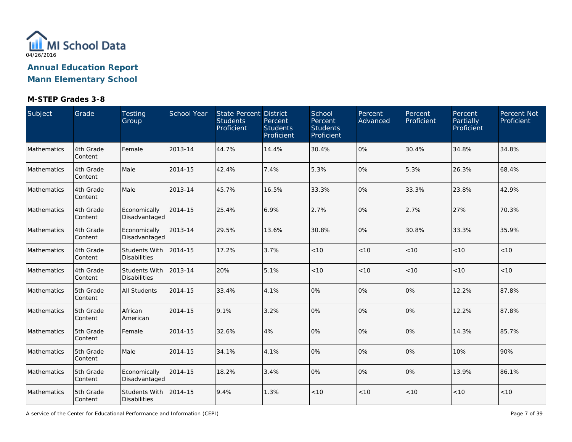

### **M-STEP Grades 3-8**

| Subject     | Grade                | Testing<br>Group                            | School Year | State Percent District<br><b>Students</b><br>Proficient | Percent<br><b>Students</b><br>Proficient | School<br>Percent<br><b>Students</b><br>Proficient | Percent<br>Advanced | Percent<br>Proficient | <b>Percent</b><br>Partially<br>Proficient | Percent Not<br>Proficient |
|-------------|----------------------|---------------------------------------------|-------------|---------------------------------------------------------|------------------------------------------|----------------------------------------------------|---------------------|-----------------------|-------------------------------------------|---------------------------|
| Mathematics | 4th Grade<br>Content | Female                                      | 2013-14     | 44.7%                                                   | 14.4%                                    | 30.4%                                              | 0%                  | 30.4%                 | 34.8%                                     | 34.8%                     |
| Mathematics | 4th Grade<br>Content | Male                                        | 2014-15     | 42.4%                                                   | 7.4%                                     | 5.3%                                               | 0%                  | 5.3%                  | 26.3%                                     | 68.4%                     |
| Mathematics | 4th Grade<br>Content | Male                                        | 2013-14     | 45.7%                                                   | 16.5%                                    | 33.3%                                              | 0%                  | 33.3%                 | 23.8%                                     | 42.9%                     |
| Mathematics | 4th Grade<br>Content | Economically<br>Disadvantaged               | 2014-15     | 25.4%                                                   | 6.9%                                     | 2.7%                                               | 0%                  | 2.7%                  | 27%                                       | 70.3%                     |
| Mathematics | 4th Grade<br>Content | Economically<br>Disadvantaged               | 2013-14     | 29.5%                                                   | 13.6%                                    | 30.8%                                              | 0%                  | 30.8%                 | 33.3%                                     | 35.9%                     |
| Mathematics | 4th Grade<br>Content | <b>Students With</b><br><b>Disabilities</b> | 2014-15     | 17.2%                                                   | 3.7%                                     | < 10                                               | < 10                | < 10                  | < 10                                      | $<10$                     |
| Mathematics | 4th Grade<br>Content | <b>Students With</b><br><b>Disabilities</b> | 2013-14     | 20%                                                     | 5.1%                                     | < 10                                               | < 10                | < 10                  | < 10                                      | < 10                      |
| Mathematics | 5th Grade<br>Content | <b>All Students</b>                         | 2014-15     | 33.4%                                                   | 4.1%                                     | 0%                                                 | 0%                  | $ 0\%$                | 12.2%                                     | 87.8%                     |
| Mathematics | 5th Grade<br>Content | African<br>American                         | 2014-15     | 9.1%                                                    | 3.2%                                     | 0%                                                 | 0%                  | 0%                    | 12.2%                                     | 87.8%                     |
| Mathematics | 5th Grade<br>Content | Female                                      | 2014-15     | 32.6%                                                   | 4%                                       | 0%                                                 | 0%                  | 0%                    | 14.3%                                     | 85.7%                     |
| Mathematics | 5th Grade<br>Content | Male                                        | 2014-15     | 34.1%                                                   | 4.1%                                     | 0%                                                 | 0%                  | 0%                    | 10%                                       | 90%                       |
| Mathematics | 5th Grade<br>Content | Economically<br>Disadvantaged               | 2014-15     | 18.2%                                                   | 3.4%                                     | 0%                                                 | 0%                  | 0%                    | 13.9%                                     | 86.1%                     |
| Mathematics | 5th Grade<br>Content | Students With<br><b>Disabilities</b>        | 2014-15     | 9.4%                                                    | 1.3%                                     | < 10                                               | < 10                | < 10                  | < 10                                      | $<10$                     |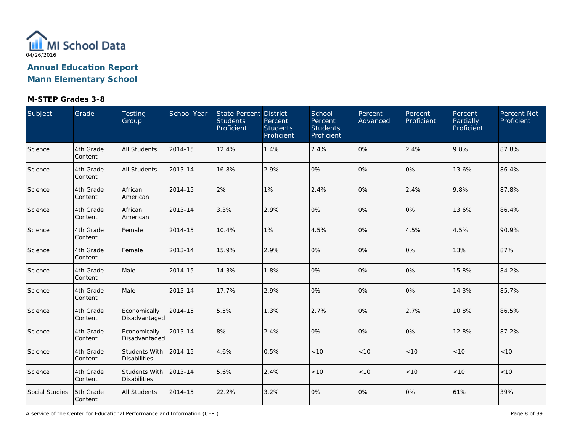

### **M-STEP Grades 3-8**

| Subject               | Grade                | Testing<br>Group                     | School Year | State Percent District<br><b>Students</b><br>Proficient | Percent<br><b>Students</b><br>Proficient | School<br>Percent<br><b>Students</b><br>Proficient | Percent<br>Advanced | Percent<br>Proficient | Percent<br>Partially<br>Proficient | Percent Not<br>Proficient |
|-----------------------|----------------------|--------------------------------------|-------------|---------------------------------------------------------|------------------------------------------|----------------------------------------------------|---------------------|-----------------------|------------------------------------|---------------------------|
| Science               | 4th Grade<br>Content | <b>All Students</b>                  | 2014-15     | 12.4%                                                   | 1.4%                                     | 2.4%                                               | 0%                  | 2.4%                  | 9.8%                               | 87.8%                     |
| Science               | 4th Grade<br>Content | <b>All Students</b>                  | 2013-14     | 16.8%                                                   | 2.9%                                     | 0%                                                 | 0%                  | 0%                    | 13.6%                              | 86.4%                     |
| Science               | 4th Grade<br>Content | African<br>American                  | 2014-15     | 2%                                                      | 1%                                       | 2.4%                                               | 0%                  | 2.4%                  | 9.8%                               | 87.8%                     |
| Science               | 4th Grade<br>Content | African<br>American                  | 2013-14     | 3.3%                                                    | 2.9%                                     | 0%                                                 | 0%                  | 0%                    | 13.6%                              | 86.4%                     |
| Science               | 4th Grade<br>Content | Female                               | 2014-15     | 10.4%                                                   | 1%                                       | 4.5%                                               | 0%                  | 4.5%                  | 4.5%                               | 90.9%                     |
| Science               | 4th Grade<br>Content | Female                               | 2013-14     | 15.9%                                                   | 2.9%                                     | 0%                                                 | 0%                  | 0%                    | 13%                                | 87%                       |
| Science               | 4th Grade<br>Content | Male                                 | 2014-15     | 14.3%                                                   | 1.8%                                     | 0%                                                 | 0%                  | 0%                    | 15.8%                              | 84.2%                     |
| Science               | 4th Grade<br>Content | Male                                 | 2013-14     | 17.7%                                                   | 2.9%                                     | 0%                                                 | 0%                  | 0%                    | 14.3%                              | 85.7%                     |
| Science               | 4th Grade<br>Content | Economically<br>Disadvantaged        | 2014-15     | 5.5%                                                    | 1.3%                                     | 2.7%                                               | 0%                  | 2.7%                  | 10.8%                              | 86.5%                     |
| Science               | 4th Grade<br>Content | Economically<br>Disadvantaged        | 2013-14     | 8%                                                      | 2.4%                                     | 0%                                                 | 0%                  | 0%                    | 12.8%                              | 87.2%                     |
| Science               | 4th Grade<br>Content | Students With<br><b>Disabilities</b> | 2014-15     | 4.6%                                                    | 0.5%                                     | < 10                                               | < 10                | < 10                  | < 10                               | < 10                      |
| Science               | 4th Grade<br>Content | Students With<br><b>Disabilities</b> | 2013-14     | 5.6%                                                    | 2.4%                                     | < 10                                               | < 10                | < 10                  | < 10                               | < 10                      |
| <b>Social Studies</b> | 5th Grade<br>Content | <b>All Students</b>                  | 2014-15     | 22.2%                                                   | 3.2%                                     | 0%                                                 | 0%                  | 0%                    | 61%                                | 39%                       |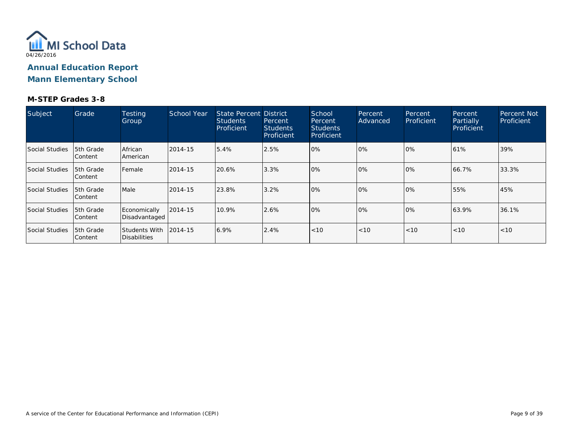

| Subject               | Grade                              | <b>Testing</b><br>Group                       | School Year | State Percent District<br><b>Students</b><br>Proficient | Percent<br><b>Students</b><br>Proficient | School<br>Percent<br>Students<br>Proficient | Percent<br>Advanced | Percent<br>Proficient | Percent<br><b>Partially</b><br>Proficient | <b>Percent Not</b><br>Proficient |
|-----------------------|------------------------------------|-----------------------------------------------|-------------|---------------------------------------------------------|------------------------------------------|---------------------------------------------|---------------------|-----------------------|-------------------------------------------|----------------------------------|
| Social Studies        | 5th Grade<br>lContent              | African<br>American                           | 2014-15     | 5.4%                                                    | 2.5%                                     | 0%                                          | $0\%$               | 10%                   | 61%                                       | 39%                              |
| <b>Social Studies</b> | 15th Grade<br> Content             | Female                                        | 2014-15     | 20.6%                                                   | 3.3%                                     | 10%                                         | 0%                  | 10%                   | 66.7%                                     | 33.3%                            |
| <b>Social Studies</b> | 5th Grade<br>lContent              | Male                                          | 2014-15     | 23.8%                                                   | 3.2%                                     | 10%                                         | 0%                  | 10%                   | 55%                                       | 45%                              |
| Social Studies        | <b>5th Grade</b><br><b>Content</b> | Economically<br>Disadvantaged                 | 2014-15     | 10.9%                                                   | 2.6%                                     | 0%                                          | 0%                  | $ 0\%$                | 63.9%                                     | 36.1%                            |
| Social Studies        | 15th Grade<br>lContent             | Students With 12014-15<br><b>Disabilities</b> |             | 6.9%                                                    | 2.4%                                     | < 10                                        | < 10                | < 10                  | < 10                                      | < 10                             |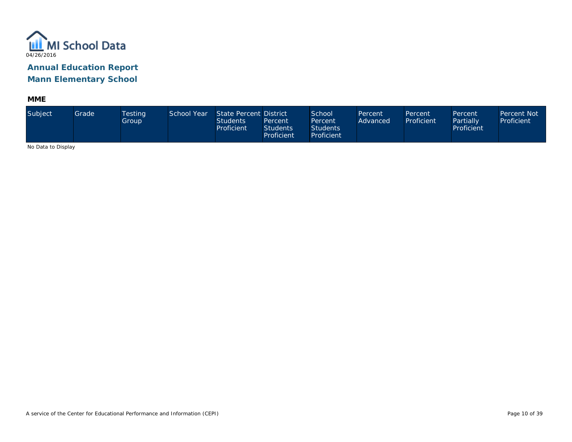

**MME**

| Subject                     | Grade | Testing<br>Group | School Year | State Percent District<br><b>Students</b><br>Proficient | Percent<br><b>Students</b><br>Proficient | School<br>Percent<br><b>Students</b><br>Proficient | Percent<br>Advanced | Percent<br>Proficient | Percent<br>Partially<br>Proficient | <b>Percent Not</b><br>Proficient |
|-----------------------------|-------|------------------|-------------|---------------------------------------------------------|------------------------------------------|----------------------------------------------------|---------------------|-----------------------|------------------------------------|----------------------------------|
| <b>ALCOHOL: U. D. L. L.</b> |       |                  |             |                                                         |                                          |                                                    |                     |                       |                                    |                                  |

No Data to Display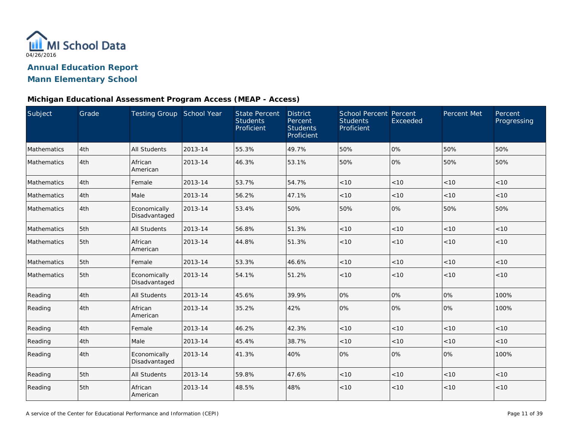

#### **Michigan Educational Assessment Program Access (MEAP - Access)**

| Subject            | Grade | Testing Group School Year     |         | <b>State Percent</b><br><b>Students</b><br>Proficient | <b>District</b><br>Percent<br><b>Students</b><br>Proficient | <b>School Percent Percent</b><br><b>Students</b><br>Proficient | Exceeded | Percent Met | Percent<br>Progressing |
|--------------------|-------|-------------------------------|---------|-------------------------------------------------------|-------------------------------------------------------------|----------------------------------------------------------------|----------|-------------|------------------------|
| Mathematics        | 4th   | <b>All Students</b>           | 2013-14 | 55.3%                                                 | 49.7%                                                       | 50%                                                            | 0%       | 50%         | 50%                    |
| Mathematics        | 4th   | African<br>American           | 2013-14 | 46.3%                                                 | 53.1%                                                       | 50%                                                            | 0%       | 50%         | 50%                    |
| Mathematics        | 4th   | Female                        | 2013-14 | 53.7%                                                 | 54.7%                                                       | < 10                                                           | < 10     | < 10        | < 10                   |
| Mathematics        | 4th   | Male                          | 2013-14 | 56.2%                                                 | 47.1%                                                       | < 10                                                           | < 10     | < 10        | < 10                   |
| Mathematics        | 4th   | Economically<br>Disadvantaged | 2013-14 | 53.4%                                                 | 50%                                                         | 50%                                                            | 0%       | 50%         | 50%                    |
| Mathematics        | 5th   | <b>All Students</b>           | 2013-14 | 56.8%                                                 | 51.3%                                                       | < 10                                                           | < 10     | < 10        | < 10                   |
| <b>Mathematics</b> | 5th   | African<br>American           | 2013-14 | 44.8%                                                 | 51.3%                                                       | < 10                                                           | < 10     | < 10        | < 10                   |
| Mathematics        | 5th   | Female                        | 2013-14 | 53.3%                                                 | 46.6%                                                       | < 10                                                           | < 10     | < 10        | < 10                   |
| Mathematics        | 5th   | Economically<br>Disadvantaged | 2013-14 | 54.1%                                                 | 51.2%                                                       | < 10                                                           | < 10     | < 10        | < 10                   |
| Reading            | 4th   | All Students                  | 2013-14 | 45.6%                                                 | 39.9%                                                       | 0%                                                             | 0%       | 0%          | 100%                   |
| Reading            | 4th   | African<br>American           | 2013-14 | 35.2%                                                 | 42%                                                         | 0%                                                             | 0%       | 0%          | 100%                   |
| Reading            | 4th   | Female                        | 2013-14 | 46.2%                                                 | 42.3%                                                       | < 10                                                           | < 10     | < 10        | < 10                   |
| Reading            | 4th   | Male                          | 2013-14 | 45.4%                                                 | 38.7%                                                       | < 10                                                           | < 10     | < 10        | < 10                   |
| Reading            | 4th   | Economically<br>Disadvantaged | 2013-14 | 41.3%                                                 | 40%                                                         | 0%                                                             | 0%       | 0%          | 100%                   |
| Reading            | 5th   | All Students                  | 2013-14 | 59.8%                                                 | 47.6%                                                       | < 10                                                           | < 10     | < 10        | < 10                   |
| Reading            | 5th   | African<br>American           | 2013-14 | 48.5%                                                 | 48%                                                         | < 10                                                           | < 10     | < 10        | < 10                   |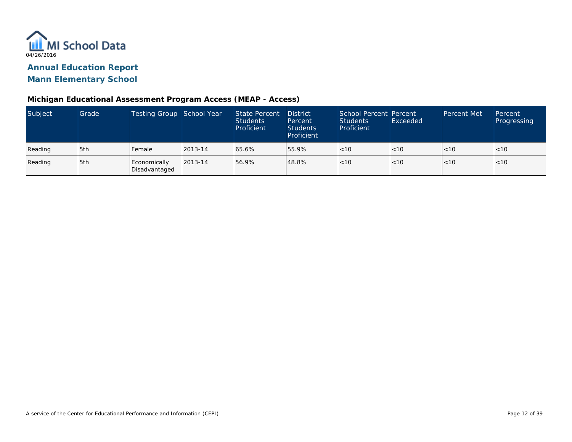

#### **Michigan Educational Assessment Program Access (MEAP - Access)**

| Subject | Grade | Testing Group School Year     |         | <b>State Percent</b><br><b>Students</b><br>Proficient | <b>District</b><br>Percent<br><b>Students</b><br>Proficient | School Percent Percent<br>Students<br>Proficient | Exceeded | <b>Percent Met</b> | Percent<br>Progressing |
|---------|-------|-------------------------------|---------|-------------------------------------------------------|-------------------------------------------------------------|--------------------------------------------------|----------|--------------------|------------------------|
| Reading | 5th   | Female                        | 2013-14 | 65.6%                                                 | 55.9%                                                       | < 10                                             | < 10     | < 10               | 1 < 10                 |
| Reading | 5th   | Economically<br>Disadvantaged | 2013-14 | 156.9%                                                | 48.8%                                                       | < 10                                             | < 10     | < 10               | < 10                   |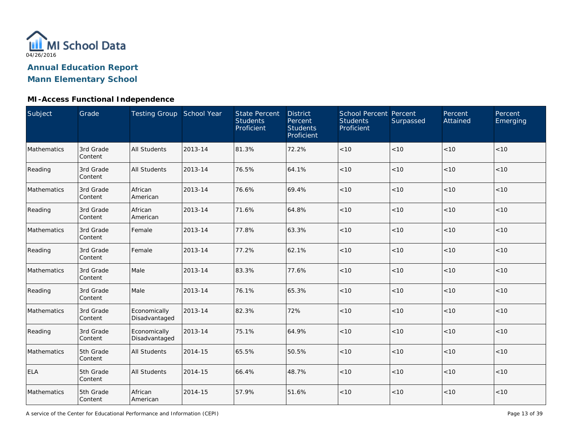

### **MI-Access Functional Independence**

| Subject     | Grade                | Testing Group School Year     |         | <b>State Percent</b><br><b>Students</b><br>Proficient | <b>District</b><br>Percent<br><b>Students</b><br>Proficient | School Percent Percent<br><b>Students</b><br>Proficient | Surpassed | Percent<br>Attained | Percent<br>Emerging |
|-------------|----------------------|-------------------------------|---------|-------------------------------------------------------|-------------------------------------------------------------|---------------------------------------------------------|-----------|---------------------|---------------------|
| Mathematics | 3rd Grade<br>Content | <b>All Students</b>           | 2013-14 | 81.3%                                                 | 72.2%                                                       | $<10$                                                   | < 10      | < 10                | < 10                |
| Reading     | 3rd Grade<br>Content | <b>All Students</b>           | 2013-14 | 76.5%                                                 | 64.1%                                                       | < 10                                                    | < 10      | < 10                | < 10                |
| Mathematics | 3rd Grade<br>Content | African<br>American           | 2013-14 | 76.6%                                                 | 69.4%                                                       | $<10$                                                   | < 10      | < 10                | $<10$               |
| Reading     | 3rd Grade<br>Content | African<br>American           | 2013-14 | 71.6%                                                 | 64.8%                                                       | < 10                                                    | < 10      | < 10                | < 10                |
| Mathematics | 3rd Grade<br>Content | Female                        | 2013-14 | 77.8%                                                 | 63.3%                                                       | $<10$                                                   | < 10      | < 10                | < 10                |
| Reading     | 3rd Grade<br>Content | Female                        | 2013-14 | 77.2%                                                 | 62.1%                                                       | < 10                                                    | < 10      | < 10                | < 10                |
| Mathematics | 3rd Grade<br>Content | Male                          | 2013-14 | 83.3%                                                 | 77.6%                                                       | < 10                                                    | < 10      | < 10                | < 10                |
| Reading     | 3rd Grade<br>Content | Male                          | 2013-14 | 76.1%                                                 | 65.3%                                                       | < 10                                                    | < 10      | < 10                | < 10                |
| Mathematics | 3rd Grade<br>Content | Economically<br>Disadvantaged | 2013-14 | 82.3%                                                 | 72%                                                         | $<10$                                                   | < 10      | < 10                | < 10                |
| Reading     | 3rd Grade<br>Content | Economically<br>Disadvantaged | 2013-14 | 75.1%                                                 | 64.9%                                                       | $<10$                                                   | < 10      | < 10                | < 10                |
| Mathematics | 5th Grade<br>Content | <b>All Students</b>           | 2014-15 | 65.5%                                                 | 50.5%                                                       | $<10$                                                   | < 10      | < 10                | < 10                |
| <b>ELA</b>  | 5th Grade<br>Content | <b>All Students</b>           | 2014-15 | 66.4%                                                 | 48.7%                                                       | $<10$                                                   | < 10      | < 10                | < 10                |
| Mathematics | 5th Grade<br>Content | African<br>American           | 2014-15 | 57.9%                                                 | 51.6%                                                       | < 10                                                    | $<10$     | < 10                | < 10                |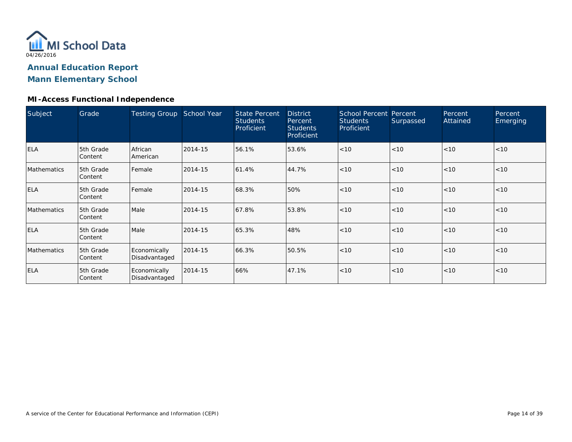

#### **MI-Access Functional Independence**

| Subject            | Grade                | <b>Testing Group</b>          | School Year | <b>State Percent</b><br><b>Students</b><br>Proficient | <b>District</b><br>Percent<br><b>Students</b><br>Proficient | School Percent Percent<br><b>Students</b><br>Proficient | Surpassed | Percent<br>Attained | Percent<br>Emerging |
|--------------------|----------------------|-------------------------------|-------------|-------------------------------------------------------|-------------------------------------------------------------|---------------------------------------------------------|-----------|---------------------|---------------------|
| <b>ELA</b>         | 5th Grade<br>Content | African<br>American           | 2014-15     | 56.1%                                                 | 53.6%                                                       | < 10                                                    | < 10      | < 10                | < 10                |
| Mathematics        | 5th Grade<br>Content | Female                        | 2014-15     | 61.4%                                                 | 44.7%                                                       | < 10                                                    | < 10      | < 10                | < 10                |
| <b>ELA</b>         | 5th Grade<br>Content | l Female                      | 2014-15     | 68.3%                                                 | 50%                                                         | < 10                                                    | < 10      | < 10                | < 10                |
| <b>Mathematics</b> | 5th Grade<br>Content | Male                          | 2014-15     | 67.8%                                                 | 53.8%                                                       | < 10                                                    | < 10      | < 10                | < 10                |
| <b>ELA</b>         | 5th Grade<br>Content | Male                          | 2014-15     | 65.3%                                                 | 48%                                                         | < 10                                                    | < 10      | < 10                | < 10                |
| <b>Mathematics</b> | 5th Grade<br>Content | Economically<br>Disadvantaged | 2014-15     | 66.3%                                                 | 50.5%                                                       | < 10                                                    | < 10      | < 10                | < 10                |
| <b>ELA</b>         | 5th Grade<br>Content | Economically<br>Disadvantaged | 2014-15     | 66%                                                   | 47.1%                                                       | < 10                                                    | < 10      | < 10                | < 10                |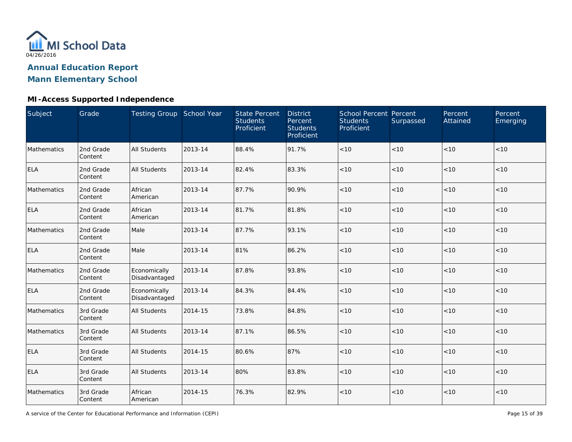

### **MI-Access Supported Independence**

| Subject     | Grade                | Testing Group School Year     |         | <b>State Percent</b><br><b>Students</b><br>Proficient | <b>District</b><br>Percent<br><b>Students</b><br>Proficient | School Percent Percent<br><b>Students</b><br>Proficient | Surpassed | Percent<br>Attained | Percent<br>Emerging |
|-------------|----------------------|-------------------------------|---------|-------------------------------------------------------|-------------------------------------------------------------|---------------------------------------------------------|-----------|---------------------|---------------------|
| Mathematics | 2nd Grade<br>Content | <b>All Students</b>           | 2013-14 | 88.4%                                                 | 91.7%                                                       | $<10$                                                   | < 10      | < 10                | < 10                |
| ELA         | 2nd Grade<br>Content | <b>All Students</b>           | 2013-14 | 82.4%                                                 | 83.3%                                                       | < 10                                                    | < 10      | < 10                | < 10                |
| Mathematics | 2nd Grade<br>Content | African<br>American           | 2013-14 | 87.7%                                                 | 90.9%                                                       | < 10                                                    | < 10      | < 10                | $<10$               |
| <b>ELA</b>  | 2nd Grade<br>Content | African<br>American           | 2013-14 | 81.7%                                                 | 81.8%                                                       | < 10                                                    | < 10      | < 10                | < 10                |
| Mathematics | 2nd Grade<br>Content | Male                          | 2013-14 | 87.7%                                                 | 93.1%                                                       | $<10$                                                   | < 10      | < 10                | < 10                |
| <b>ELA</b>  | 2nd Grade<br>Content | Male                          | 2013-14 | 81%                                                   | 86.2%                                                       | $<10$                                                   | < 10      | < 10                | < 10                |
| Mathematics | 2nd Grade<br>Content | Economically<br>Disadvantaged | 2013-14 | 87.8%                                                 | 93.8%                                                       | < 10                                                    | < 10      | < 10                | < 10                |
| ELA         | 2nd Grade<br>Content | Economically<br>Disadvantaged | 2013-14 | 84.3%                                                 | 84.4%                                                       | < 10                                                    | < 10      | < 10                | < 10                |
| Mathematics | 3rd Grade<br>Content | <b>All Students</b>           | 2014-15 | 73.8%                                                 | 84.8%                                                       | $<10$                                                   | < 10      | < 10                | < 10                |
| Mathematics | 3rd Grade<br>Content | <b>All Students</b>           | 2013-14 | 87.1%                                                 | 86.5%                                                       | $<10$                                                   | < 10      | < 10                | < 10                |
| <b>ELA</b>  | 3rd Grade<br>Content | <b>All Students</b>           | 2014-15 | 80.6%                                                 | 87%                                                         | $<10$                                                   | < 10      | < 10                | < 10                |
| ELA         | 3rd Grade<br>Content | <b>All Students</b>           | 2013-14 | 80%                                                   | 83.8%                                                       | $<10$                                                   | < 10      | < 10                | < 10                |
| Mathematics | 3rd Grade<br>Content | African<br>American           | 2014-15 | 76.3%                                                 | 82.9%                                                       | $<10$                                                   | $<10$     | < 10                | < 10                |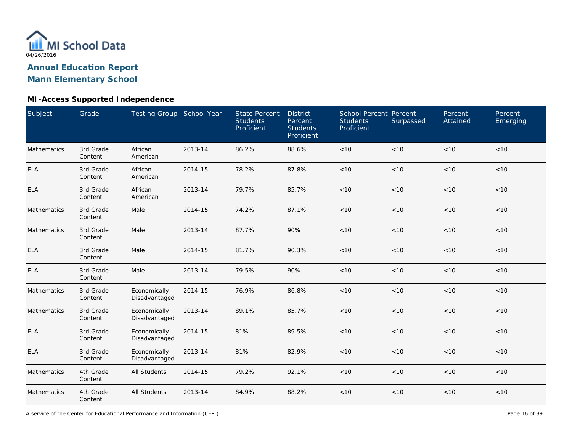

### **MI-Access Supported Independence**

| Subject            | Grade                | Testing Group School Year     |         | <b>State Percent</b><br><b>Students</b><br>Proficient | <b>District</b><br>Percent<br><b>Students</b><br>Proficient | School Percent Percent<br><b>Students</b><br>Proficient | Surpassed | Percent<br>Attained | Percent<br>Emerging |
|--------------------|----------------------|-------------------------------|---------|-------------------------------------------------------|-------------------------------------------------------------|---------------------------------------------------------|-----------|---------------------|---------------------|
| Mathematics        | 3rd Grade<br>Content | African<br>American           | 2013-14 | 86.2%                                                 | 88.6%                                                       | $<10$                                                   | < 10      | < 10                | < 10                |
| <b>ELA</b>         | 3rd Grade<br>Content | African<br>American           | 2014-15 | 78.2%                                                 | 87.8%                                                       | < 10                                                    | < 10      | < 10                | < 10                |
| <b>ELA</b>         | 3rd Grade<br>Content | African<br>American           | 2013-14 | 79.7%                                                 | 85.7%                                                       | < 10                                                    | < 10      | < 10                | < 10                |
| <b>Mathematics</b> | 3rd Grade<br>Content | Male                          | 2014-15 | 74.2%                                                 | 87.1%                                                       | < 10                                                    | < 10      | < 10                | < 10                |
| Mathematics        | 3rd Grade<br>Content | Male                          | 2013-14 | 87.7%                                                 | 90%                                                         | $<10$                                                   | < 10      | < 10                | < 10                |
| <b>ELA</b>         | 3rd Grade<br>Content | Male                          | 2014-15 | 81.7%                                                 | 90.3%                                                       | $<10$                                                   | < 10      | < 10                | < 10                |
| <b>ELA</b>         | 3rd Grade<br>Content | Male                          | 2013-14 | 79.5%                                                 | 90%                                                         | < 10                                                    | < 10      | < 10                | < 10                |
| Mathematics        | 3rd Grade<br>Content | Economically<br>Disadvantaged | 2014-15 | 76.9%                                                 | 86.8%                                                       | $<10$                                                   | $<10$     | <10                 | < 10                |
| Mathematics        | 3rd Grade<br>Content | Economically<br>Disadvantaged | 2013-14 | 89.1%                                                 | 85.7%                                                       | < 10                                                    | < 10      | < 10                | < 10                |
| <b>ELA</b>         | 3rd Grade<br>Content | Economically<br>Disadvantaged | 2014-15 | 81%                                                   | 89.5%                                                       | < 10                                                    | < 10      | < 10                | < 10                |
| <b>ELA</b>         | 3rd Grade<br>Content | Economically<br>Disadvantaged | 2013-14 | 81%                                                   | 82.9%                                                       | < 10                                                    | < 10      | < 10                | < 10                |
| Mathematics        | 4th Grade<br>Content | <b>All Students</b>           | 2014-15 | 79.2%                                                 | 92.1%                                                       | $<10$                                                   | < 10      | < 10                | $<10$               |
| Mathematics        | 4th Grade<br>Content | <b>All Students</b>           | 2013-14 | 84.9%                                                 | 88.2%                                                       | $<10$                                                   | $<10$     | < 10                | < 10                |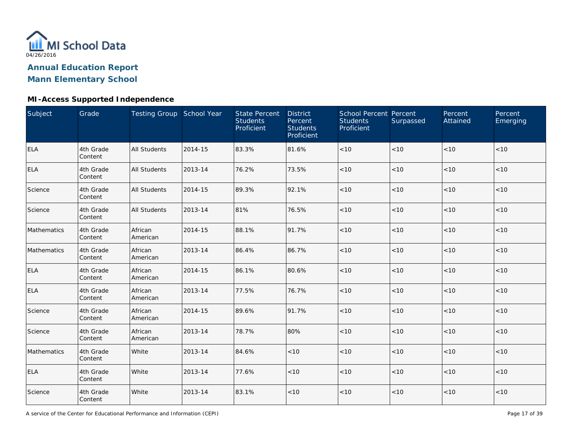

### **MI-Access Supported Independence**

| Subject     | Grade                | Testing Group School Year |         | <b>State Percent</b><br><b>Students</b><br>Proficient | <b>District</b><br>Percent<br><b>Students</b><br>Proficient | School Percent Percent<br><b>Students</b><br>Proficient | Surpassed | Percent<br>Attained | Percent<br>Emerging |
|-------------|----------------------|---------------------------|---------|-------------------------------------------------------|-------------------------------------------------------------|---------------------------------------------------------|-----------|---------------------|---------------------|
| <b>ELA</b>  | 4th Grade<br>Content | <b>All Students</b>       | 2014-15 | 83.3%                                                 | 81.6%                                                       | $<10$                                                   | < 10      | < 10                | < 10                |
| <b>ELA</b>  | 4th Grade<br>Content | <b>All Students</b>       | 2013-14 | 76.2%                                                 | 73.5%                                                       | $<10$                                                   | < 10      | < 10                | < 10                |
| Science     | 4th Grade<br>Content | <b>All Students</b>       | 2014-15 | 89.3%                                                 | 92.1%                                                       | $<10$                                                   | $<10$     | < 10                | < 10                |
| Science     | 4th Grade<br>Content | <b>All Students</b>       | 2013-14 | 81%                                                   | 76.5%                                                       | $<10$                                                   | < 10      | <10                 | $<10$               |
| Mathematics | 4th Grade<br>Content | African<br>American       | 2014-15 | 88.1%                                                 | 91.7%                                                       | < 10                                                    | < 10      | < 10                | < 10                |
| Mathematics | 4th Grade<br>Content | African<br>American       | 2013-14 | 86.4%                                                 | 86.7%                                                       | < 10                                                    | < 10      | < 10                | < 10                |
| <b>ELA</b>  | 4th Grade<br>Content | African<br>American       | 2014-15 | 86.1%                                                 | 80.6%                                                       | < 10                                                    | < 10      | < 10                | < 10                |
| <b>ELA</b>  | 4th Grade<br>Content | African<br>American       | 2013-14 | 77.5%                                                 | 76.7%                                                       | $<10$                                                   | < 10      | < 10                | < 10                |
| Science     | 4th Grade<br>Content | African<br>American       | 2014-15 | 89.6%                                                 | 91.7%                                                       | $<10$                                                   | < 10      | < 10                | < 10                |
| Science     | 4th Grade<br>Content | African<br>American       | 2013-14 | 78.7%                                                 | 80%                                                         | $<10$                                                   | < 10      | < 10                | < 10                |
| Mathematics | 4th Grade<br>Content | White                     | 2013-14 | 84.6%                                                 | < 10                                                        | $<10$                                                   | < 10      | < 10                | < 10                |
| <b>ELA</b>  | 4th Grade<br>Content | White                     | 2013-14 | 77.6%                                                 | $<10$                                                       | $<10$                                                   | < 10      | < 10                | < 10                |
| Science     | 4th Grade<br>Content | White                     | 2013-14 | 83.1%                                                 | $<10$                                                       | $<10$                                                   | $<10$     | < 10                | < 10                |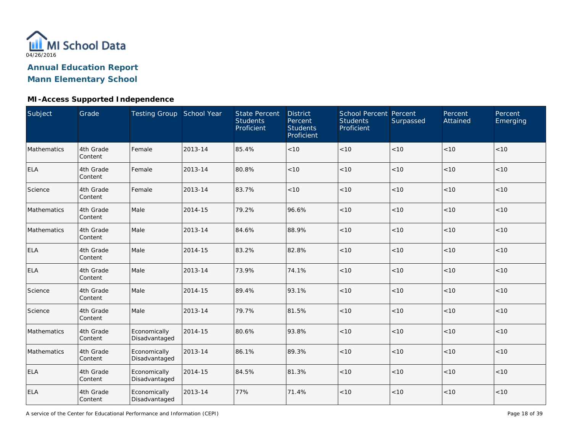

### **MI-Access Supported Independence**

| Subject     | Grade                | Testing Group School Year     |         | <b>State Percent</b><br><b>Students</b><br>Proficient | <b>District</b><br>Percent<br><b>Students</b><br>Proficient | School Percent Percent<br><b>Students</b><br>Proficient | Surpassed | Percent<br>Attained | Percent<br>Emerging |
|-------------|----------------------|-------------------------------|---------|-------------------------------------------------------|-------------------------------------------------------------|---------------------------------------------------------|-----------|---------------------|---------------------|
| Mathematics | 4th Grade<br>Content | Female                        | 2013-14 | 85.4%                                                 | < 10                                                        | < 10                                                    | < 10      | < 10                | < 10                |
| <b>ELA</b>  | 4th Grade<br>Content | Female                        | 2013-14 | 80.8%                                                 | < 10                                                        | < 10                                                    | < 10      | < 10                | < 10                |
| Science     | 4th Grade<br>Content | Female                        | 2013-14 | 83.7%                                                 | < 10                                                        | < 10                                                    | < 10      | < 10                | $<10$               |
| Mathematics | 4th Grade<br>Content | Male                          | 2014-15 | 79.2%                                                 | 96.6%                                                       | < 10                                                    | < 10      | < 10                | < 10                |
| Mathematics | 4th Grade<br>Content | Male                          | 2013-14 | 84.6%                                                 | 88.9%                                                       | < 10                                                    | < 10      | < 10                | < 10                |
| <b>ELA</b>  | 4th Grade<br>Content | Male                          | 2014-15 | 83.2%                                                 | 82.8%                                                       | < 10                                                    | < 10      | < 10                | < 10                |
| <b>ELA</b>  | 4th Grade<br>Content | Male                          | 2013-14 | 73.9%                                                 | 74.1%                                                       | < 10                                                    | < 10      | < 10                | < 10                |
| Science     | 4th Grade<br>Content | Male                          | 2014-15 | 89.4%                                                 | 93.1%                                                       | < 10                                                    | < 10      | < 10                | < 10                |
| Science     | 4th Grade<br>Content | Male                          | 2013-14 | 79.7%                                                 | 81.5%                                                       | $<10$                                                   | < 10      | <10                 | < 10                |
| Mathematics | 4th Grade<br>Content | Economically<br>Disadvantaged | 2014-15 | 80.6%                                                 | 93.8%                                                       | $<10$                                                   | < 10      | < 10                | < 10                |
| Mathematics | 4th Grade<br>Content | Economically<br>Disadvantaged | 2013-14 | 86.1%                                                 | 89.3%                                                       | $<10$                                                   | $<10$     | < 10                | < 10                |
| <b>ELA</b>  | 4th Grade<br>Content | Economically<br>Disadvantaged | 2014-15 | 84.5%                                                 | 81.3%                                                       | $<10$                                                   | < 10      | < 10                | < 10                |
| ELA         | 4th Grade<br>Content | Economically<br>Disadvantaged | 2013-14 | 77%                                                   | 71.4%                                                       | $<10$                                                   | < 10      | < 10                | < 10                |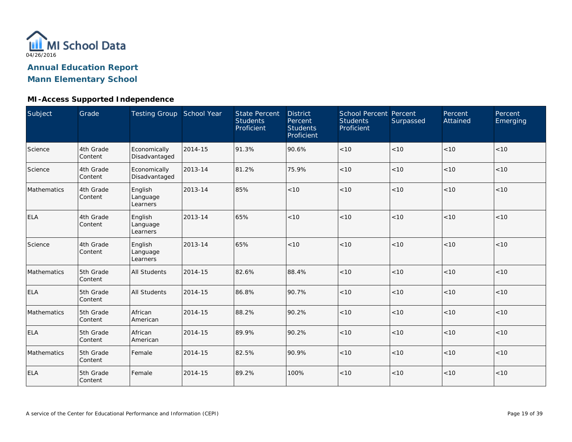

### **MI-Access Supported Independence**

| Subject     | Grade                | Testing Group School Year       |         | <b>State Percent</b><br><b>Students</b><br>Proficient | <b>District</b><br>Percent<br><b>Students</b><br>Proficient | <b>School Percent Percent</b><br><b>Students</b><br>Proficient | Surpassed | Percent<br>Attained | Percent<br>Emerging |
|-------------|----------------------|---------------------------------|---------|-------------------------------------------------------|-------------------------------------------------------------|----------------------------------------------------------------|-----------|---------------------|---------------------|
| Science     | 4th Grade<br>Content | Economically<br>Disadvantaged   | 2014-15 | 91.3%                                                 | 90.6%                                                       | $<10$                                                          | < 10      | < 10                | < 10                |
| Science     | 4th Grade<br>Content | Economically<br>Disadvantaged   | 2013-14 | 81.2%                                                 | 75.9%                                                       | < 10                                                           | < 10      | < 10                | < 10                |
| Mathematics | 4th Grade<br>Content | English<br>Language<br>Learners | 2013-14 | 85%                                                   | < 10                                                        | < 10                                                           | < 10      | < 10                | < 10                |
| <b>ELA</b>  | 4th Grade<br>Content | English<br>Language<br>Learners | 2013-14 | 65%                                                   | < 10                                                        | < 10                                                           | < 10      | < 10                | < 10                |
| Science     | 4th Grade<br>Content | English<br>Language<br>Learners | 2013-14 | 65%                                                   | < 10                                                        | < 10                                                           | < 10      | < 10                | < 10                |
| Mathematics | 5th Grade<br>Content | <b>All Students</b>             | 2014-15 | 82.6%                                                 | 88.4%                                                       | < 10                                                           | < 10      | < 10                | < 10                |
| <b>ELA</b>  | 5th Grade<br>Content | <b>All Students</b>             | 2014-15 | 86.8%                                                 | 90.7%                                                       | $<10$                                                          | < 10      | < 10                | < 10                |
| Mathematics | 5th Grade<br>Content | African<br>American             | 2014-15 | 88.2%                                                 | 90.2%                                                       | $<10$                                                          | < 10      | < 10                | < 10                |
| <b>ELA</b>  | 5th Grade<br>Content | African<br>American             | 2014-15 | 89.9%                                                 | 90.2%                                                       | $<10$                                                          | < 10      | < 10                | < 10                |
| Mathematics | 5th Grade<br>Content | Female                          | 2014-15 | 82.5%                                                 | 90.9%                                                       | < 10                                                           | < 10      | < 10                | < 10                |
| <b>ELA</b>  | 5th Grade<br>Content | Female                          | 2014-15 | 89.2%                                                 | 100%                                                        | < 10                                                           | < 10      | < 10                | < 10                |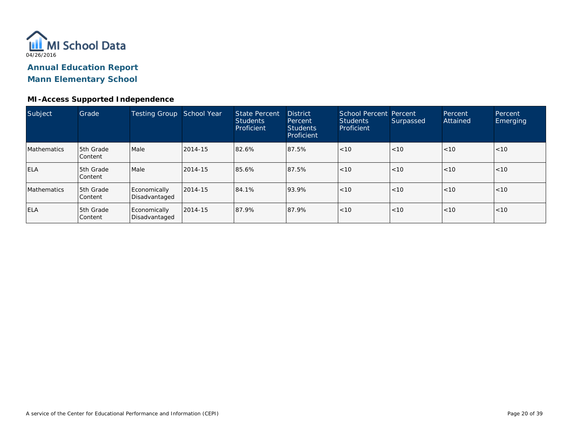

#### **MI-Access Supported Independence**

| Subject            | Grade                       | Testing Group School Year     |         | State Percent<br><b>Students</b><br>Proficient | <b>District</b><br>Percent<br><b>Students</b><br>Proficient | <b>School Percent Percent</b><br><b>Students</b><br>Proficient | Surpassed | Percent<br>Attained | Percent<br><b>Emerging</b> |
|--------------------|-----------------------------|-------------------------------|---------|------------------------------------------------|-------------------------------------------------------------|----------------------------------------------------------------|-----------|---------------------|----------------------------|
| <b>Mathematics</b> | 5th Grade<br><b>Content</b> | Male                          | 2014-15 | 82.6%                                          | 87.5%                                                       | < 10                                                           | < 10      | < 10                | < 10                       |
| <b>ELA</b>         | 5th Grade<br>Content        | Male                          | 2014-15 | 85.6%                                          | 87.5%                                                       | < 10                                                           | $ $ < 10  | < 10                | < 10                       |
| <b>Mathematics</b> | 5th Grade<br>Content        | Economically<br>Disadvantaged | 2014-15 | 84.1%                                          | 93.9%                                                       | < 10                                                           | < 10      | < 10                | < 10                       |
| <b>ELA</b>         | 5th Grade<br>Content        | Economically<br>Disadvantaged | 2014-15 | 87.9%                                          | 87.9%                                                       | < 10                                                           | $ $ < 10  | < 10                | < 10                       |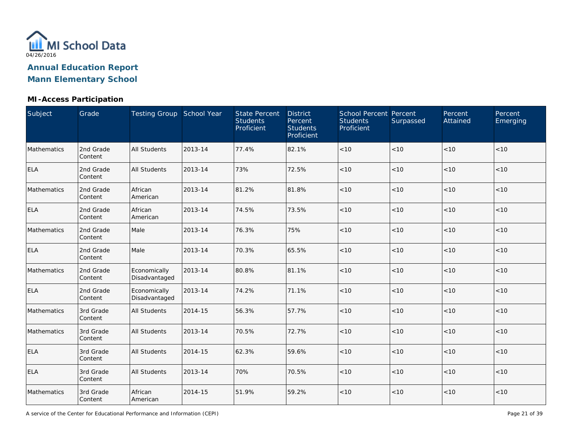

### **MI-Access Participation**

| Subject     | Grade                | Testing Group School Year     |         | <b>State Percent</b><br><b>Students</b><br>Proficient | <b>District</b><br>Percent<br><b>Students</b><br>Proficient | School Percent Percent<br><b>Students</b><br>Proficient | Surpassed | Percent<br>Attained | Percent<br>Emerging |
|-------------|----------------------|-------------------------------|---------|-------------------------------------------------------|-------------------------------------------------------------|---------------------------------------------------------|-----------|---------------------|---------------------|
| Mathematics | 2nd Grade<br>Content | <b>All Students</b>           | 2013-14 | 77.4%                                                 | 82.1%                                                       | < 10                                                    | < 10      | < 10                | < 10                |
| <b>ELA</b>  | 2nd Grade<br>Content | <b>All Students</b>           | 2013-14 | 73%                                                   | 72.5%                                                       | < 10                                                    | < 10      | < 10                | < 10                |
| Mathematics | 2nd Grade<br>Content | African<br>American           | 2013-14 | 81.2%                                                 | 81.8%                                                       | < 10                                                    | < 10      | < 10                | < 10                |
| <b>ELA</b>  | 2nd Grade<br>Content | African<br>American           | 2013-14 | 74.5%                                                 | 73.5%                                                       | < 10                                                    | < 10      | < 10                | < 10                |
| Mathematics | 2nd Grade<br>Content | Male                          | 2013-14 | 76.3%                                                 | 75%                                                         | < 10                                                    | < 10      | < 10                | < 10                |
| <b>ELA</b>  | 2nd Grade<br>Content | Male                          | 2013-14 | 70.3%                                                 | 65.5%                                                       | $<10$                                                   | < 10      | < 10                | < 10                |
| Mathematics | 2nd Grade<br>Content | Economically<br>Disadvantaged | 2013-14 | 80.8%                                                 | 81.1%                                                       | < 10                                                    | < 10      | < 10                | < 10                |
| <b>ELA</b>  | 2nd Grade<br>Content | Economically<br>Disadvantaged | 2013-14 | 74.2%                                                 | 71.1%                                                       | < 10                                                    | < 10      | < 10                | < 10                |
| Mathematics | 3rd Grade<br>Content | <b>All Students</b>           | 2014-15 | 56.3%                                                 | 57.7%                                                       | $<10$                                                   | < 10      | < 10                | < 10                |
| Mathematics | 3rd Grade<br>Content | <b>All Students</b>           | 2013-14 | 70.5%                                                 | 72.7%                                                       | $<10$                                                   | < 10      | < 10                | < 10                |
| <b>ELA</b>  | 3rd Grade<br>Content | <b>All Students</b>           | 2014-15 | 62.3%                                                 | 59.6%                                                       | $<10$                                                   | < 10      | < 10                | < 10                |
| <b>ELA</b>  | 3rd Grade<br>Content | <b>All Students</b>           | 2013-14 | 70%                                                   | 70.5%                                                       | $<10$                                                   | < 10      | < 10                | < 10                |
| Mathematics | 3rd Grade<br>Content | African<br>American           | 2014-15 | 51.9%                                                 | 59.2%                                                       | $<10$                                                   | < 10      | < 10                | < 10                |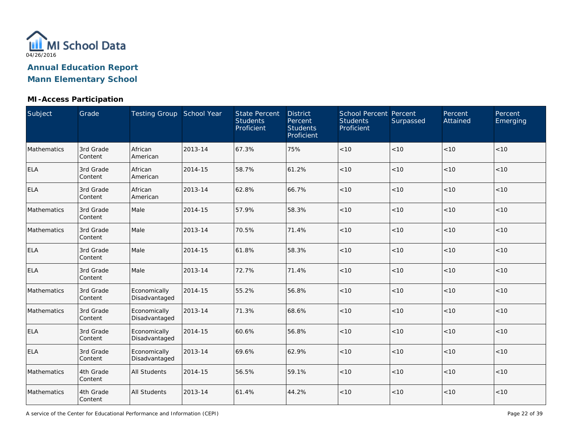

### **MI-Access Participation**

| Subject     | Grade                | Testing Group School Year     |         | <b>State Percent</b><br><b>Students</b><br>Proficient | <b>District</b><br>Percent<br><b>Students</b><br>Proficient | School Percent Percent<br><b>Students</b><br>Proficient | Surpassed | Percent<br>Attained | Percent<br>Emerging |
|-------------|----------------------|-------------------------------|---------|-------------------------------------------------------|-------------------------------------------------------------|---------------------------------------------------------|-----------|---------------------|---------------------|
| Mathematics | 3rd Grade<br>Content | African<br>American           | 2013-14 | 67.3%                                                 | 75%                                                         | $<10$                                                   | < 10      | < 10                | < 10                |
| <b>ELA</b>  | 3rd Grade<br>Content | African<br>American           | 2014-15 | 58.7%                                                 | 61.2%                                                       | $<10$                                                   | $<10$     | < 10                | < 10                |
| <b>ELA</b>  | 3rd Grade<br>Content | African<br>American           | 2013-14 | 62.8%                                                 | 66.7%                                                       | < 10                                                    | < 10      | < 10                | < 10                |
| Mathematics | 3rd Grade<br>Content | Male                          | 2014-15 | 57.9%                                                 | 58.3%                                                       | < 10                                                    | < 10      | < 10                | $<10$               |
| Mathematics | 3rd Grade<br>Content | Male                          | 2013-14 | 70.5%                                                 | 71.4%                                                       | < 10                                                    | < 10      | < 10                | < 10                |
| <b>ELA</b>  | 3rd Grade<br>Content | Male                          | 2014-15 | 61.8%                                                 | 58.3%                                                       | < 10                                                    | < 10      | < 10                | < 10                |
| <b>ELA</b>  | 3rd Grade<br>Content | Male                          | 2013-14 | 72.7%                                                 | 71.4%                                                       | < 10                                                    | < 10      | < 10                | < 10                |
| Mathematics | 3rd Grade<br>Content | Economically<br>Disadvantaged | 2014-15 | 55.2%                                                 | 56.8%                                                       | $<10$                                                   | $<10$     | < 10                | $<10$               |
| Mathematics | 3rd Grade<br>Content | Economically<br>Disadvantaged | 2013-14 | 71.3%                                                 | 68.6%                                                       | $<10$                                                   | < 10      | <10                 | < 10                |
| <b>ELA</b>  | 3rd Grade<br>Content | Economically<br>Disadvantaged | 2014-15 | 60.6%                                                 | 56.8%                                                       | $<10$                                                   | < 10      | < 10                | < 10                |
| <b>ELA</b>  | 3rd Grade<br>Content | Economically<br>Disadvantaged | 2013-14 | 69.6%                                                 | 62.9%                                                       | < 10                                                    | < 10      | < 10                | < 10                |
| Mathematics | 4th Grade<br>Content | <b>All Students</b>           | 2014-15 | 56.5%                                                 | 59.1%                                                       | < 10                                                    | < 10      | < 10                | < 10                |
| Mathematics | 4th Grade<br>Content | All Students                  | 2013-14 | 61.4%                                                 | 44.2%                                                       | < 10                                                    | $<10$     | < 10                | < 10                |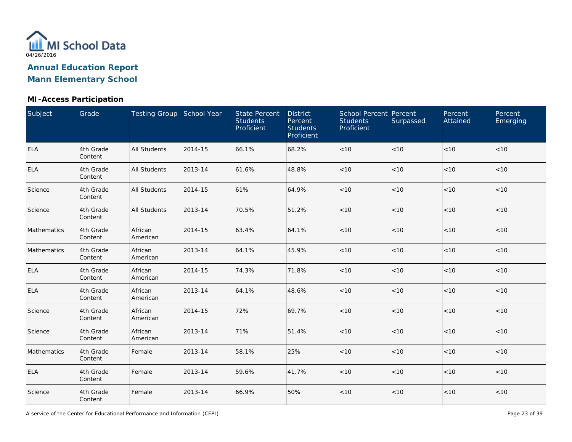

### **MI-Access Participation**

| Subject     | Grade                | Testing Group School Year |         | <b>State Percent</b><br><b>Students</b><br>Proficient | <b>District</b><br>Percent<br><b>Students</b><br>Proficient | School Percent Percent<br><b>Students</b><br>Proficient | Surpassed | Percent<br>Attained | Percent<br>Emerging |
|-------------|----------------------|---------------------------|---------|-------------------------------------------------------|-------------------------------------------------------------|---------------------------------------------------------|-----------|---------------------|---------------------|
| <b>ELA</b>  | 4th Grade<br>Content | <b>All Students</b>       | 2014-15 | 66.1%                                                 | 68.2%                                                       | $<10$                                                   | < 10      | < 10                | < 10                |
| <b>ELA</b>  | 4th Grade<br>Content | <b>All Students</b>       | 2013-14 | 61.6%                                                 | 48.8%                                                       | $<10$                                                   | $<10$     | < 10                | < 10                |
| Science     | 4th Grade<br>Content | <b>All Students</b>       | 2014-15 | 61%                                                   | 64.9%                                                       | < 10                                                    | < 10      | < 10                | < 10                |
| Science     | 4th Grade<br>Content | <b>All Students</b>       | 2013-14 | 70.5%                                                 | 51.2%                                                       | < 10                                                    | < 10      | < 10                | $<10$               |
| Mathematics | 4th Grade<br>Content | African<br>American       | 2014-15 | 63.4%                                                 | 64.1%                                                       | < 10                                                    | < 10      | < 10                | < 10                |
| Mathematics | 4th Grade<br>Content | African<br>American       | 2013-14 | 64.1%                                                 | 45.9%                                                       | < 10                                                    | < 10      | < 10                | < 10                |
| <b>ELA</b>  | 4th Grade<br>Content | African<br>American       | 2014-15 | 74.3%                                                 | 71.8%                                                       | < 10                                                    | < 10      | < 10                | < 10                |
| <b>ELA</b>  | 4th Grade<br>Content | African<br>American       | 2013-14 | 64.1%                                                 | 48.6%                                                       | $<10$                                                   | $<10$     | < 10                | < 10                |
| Science     | 4th Grade<br>Content | African<br>American       | 2014-15 | 72%                                                   | 69.7%                                                       | $<10$                                                   | <10       | <10                 | < 10                |
| Science     | 4th Grade<br>Content | African<br>American       | 2013-14 | 71%                                                   | 51.4%                                                       | $<10$                                                   | < 10      | < 10                | < 10                |
| Mathematics | 4th Grade<br>Content | Female                    | 2013-14 | 58.1%                                                 | 25%                                                         | $<10$                                                   | < 10      | < 10                | < 10                |
| <b>ELA</b>  | 4th Grade<br>Content | Female                    | 2013-14 | 59.6%                                                 | 41.7%                                                       | $<10$                                                   | < 10      | < 10                | < 10                |
| Science     | 4th Grade<br>Content | Female                    | 2013-14 | 66.9%                                                 | 50%                                                         | $<10$                                                   | $<10$     | < 10                | < 10                |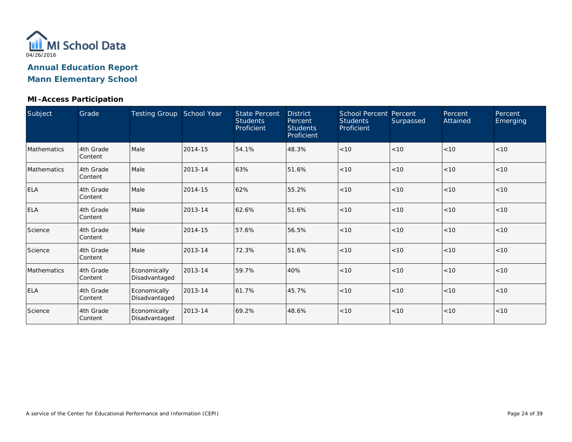

#### **MI-Access Participation**

| Subject     | Grade                | <b>Testing Group</b>          | School Year | <b>State Percent</b><br><b>Students</b><br>Proficient | <b>District</b><br>Percent<br><b>Students</b><br>Proficient | <b>School Percent Percent</b><br><b>Students</b><br>Proficient | Surpassed | Percent<br>Attained | Percent<br>Emerging |
|-------------|----------------------|-------------------------------|-------------|-------------------------------------------------------|-------------------------------------------------------------|----------------------------------------------------------------|-----------|---------------------|---------------------|
| Mathematics | 4th Grade<br>Content | Male                          | 2014-15     | 54.1%                                                 | 48.3%                                                       | < 10                                                           | < 10      | < 10                | < 10                |
| Mathematics | 4th Grade<br>Content | Male                          | 2013-14     | 63%                                                   | 51.6%                                                       | < 10                                                           | < 10      | < 10                | < 10                |
| <b>ELA</b>  | 4th Grade<br>Content | Male                          | 2014-15     | 62%                                                   | 55.2%                                                       | < 10                                                           | < 10      | < 10                | < 10                |
| <b>ELA</b>  | 4th Grade<br>Content | Male                          | 2013-14     | 62.6%                                                 | 51.6%                                                       | < 10                                                           | < 10      | < 10                | < 10                |
| Science     | 4th Grade<br>Content | Male                          | 2014-15     | 57.6%                                                 | 56.5%                                                       | < 10                                                           | < 10      | < 10                | < 10                |
| Science     | 4th Grade<br>Content | Male                          | 2013-14     | 72.3%                                                 | 51.6%                                                       | < 10                                                           | < 10      | < 10                | < 10                |
| Mathematics | 4th Grade<br>Content | Economically<br>Disadvantaged | 2013-14     | 59.7%                                                 | 40%                                                         | < 10                                                           | < 10      | < 10                | < 10                |
| <b>ELA</b>  | 4th Grade<br>Content | Economically<br>Disadvantaged | 2013-14     | 61.7%                                                 | 45.7%                                                       | < 10                                                           | < 10      | < 10                | < 10                |
| Science     | 4th Grade<br>Content | Economically<br>Disadvantaged | 2013-14     | 69.2%                                                 | 48.6%                                                       | < 10                                                           | < 10      | < 10                | < 10                |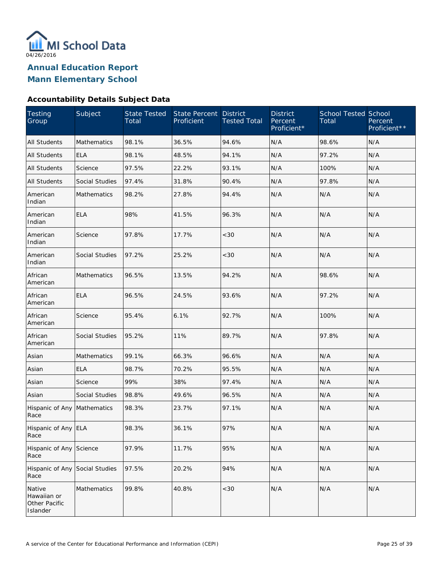

**Mann Elementary School**

### **Accountability Details Subject Data**

| <b>Testing</b><br>Group                                   | Subject               | <b>State Tested</b><br>Total | State Percent<br>Proficient | <b>District</b><br><b>Tested Total</b> | <b>District</b><br>Percent<br>Proficient* | <b>School Tested School</b><br>Total | Percent<br>Proficient** |
|-----------------------------------------------------------|-----------------------|------------------------------|-----------------------------|----------------------------------------|-------------------------------------------|--------------------------------------|-------------------------|
| <b>All Students</b>                                       | <b>Mathematics</b>    | 98.1%                        | 36.5%                       | 94.6%                                  | N/A                                       | 98.6%                                | N/A                     |
| <b>All Students</b>                                       | <b>ELA</b>            | 98.1%                        | 48.5%                       | 94.1%                                  | N/A                                       | 97.2%                                | N/A                     |
| All Students                                              | Science               | 97.5%                        | 22.2%                       | 93.1%                                  | N/A                                       | 100%                                 | N/A                     |
| All Students                                              | <b>Social Studies</b> | 97.4%                        | 31.8%                       | 90.4%                                  | N/A                                       | 97.8%                                | N/A                     |
| American<br>Indian                                        | Mathematics           | 98.2%                        | 27.8%                       | 94.4%                                  | N/A                                       | N/A                                  | N/A                     |
| American<br>Indian                                        | <b>ELA</b>            | 98%                          | 41.5%                       | 96.3%                                  | N/A                                       | N/A                                  | N/A                     |
| American<br>Indian                                        | Science               | 97.8%                        | 17.7%                       | <30                                    | N/A                                       | N/A                                  | N/A                     |
| American<br>Indian                                        | <b>Social Studies</b> | 97.2%                        | 25.2%                       | <30                                    | N/A                                       | N/A                                  | N/A                     |
| African<br>American                                       | Mathematics           | 96.5%                        | 13.5%                       | 94.2%                                  | N/A                                       | 98.6%                                | N/A                     |
| African<br>American                                       | <b>ELA</b>            | 96.5%                        | 24.5%                       | 93.6%                                  | N/A                                       | 97.2%                                | N/A                     |
| African<br>American                                       | Science               | 95.4%                        | 6.1%                        | 92.7%                                  | N/A                                       | 100%                                 | N/A                     |
| African<br>American                                       | <b>Social Studies</b> | 95.2%                        | 11%                         | 89.7%                                  | N/A                                       | 97.8%                                | N/A                     |
| Asian                                                     | Mathematics           | 99.1%                        | 66.3%                       | 96.6%                                  | N/A                                       | N/A                                  | N/A                     |
| Asian                                                     | <b>ELA</b>            | 98.7%                        | 70.2%                       | 95.5%                                  | N/A                                       | N/A                                  | N/A                     |
| Asian                                                     | Science               | 99%                          | 38%                         | 97.4%                                  | N/A                                       | N/A                                  | N/A                     |
| Asian                                                     | Social Studies        | 98.8%                        | 49.6%                       | 96.5%                                  | N/A                                       | N/A                                  | N/A                     |
| Hispanic of Any<br>Race                                   | Mathematics           | 98.3%                        | 23.7%                       | 97.1%                                  | N/A                                       | N/A                                  | N/A                     |
| Hispanic of Any ELA<br>Race                               |                       | 98.3%                        | 36.1%                       | 97%                                    | N/A                                       | N/A                                  | N/A                     |
| Hispanic of Any<br>Race                                   | Science               | 97.9%                        | 11.7%                       | 95%                                    | N/A                                       | N/A                                  | N/A                     |
| Hispanic of Any<br>Race                                   | Social Studies        | 97.5%                        | 20.2%                       | 94%                                    | N/A                                       | N/A                                  | N/A                     |
| Native<br>Hawaiian or<br><b>Other Pacific</b><br>Islander | Mathematics           | 99.8%                        | 40.8%                       | <30                                    | N/A                                       | N/A                                  | N/A                     |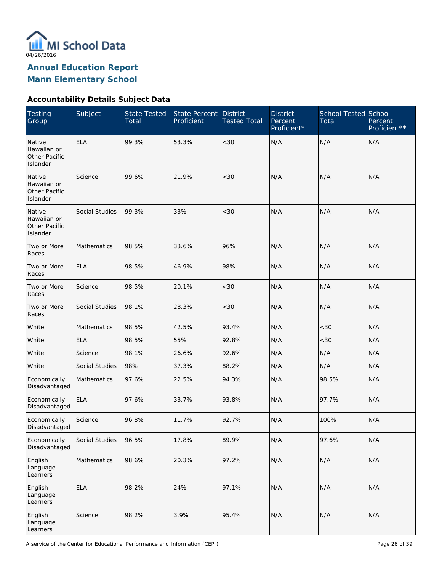

**Mann Elementary School**

### **Accountability Details Subject Data**

| <b>Testing</b><br>Group                                   | Subject            | <b>State Tested</b><br>Total | State Percent<br>Proficient | <b>District</b><br><b>Tested Total</b> | <b>District</b><br>Percent<br>Proficient* | <b>School Tested School</b><br>Total | Percent<br>Proficient** |
|-----------------------------------------------------------|--------------------|------------------------------|-----------------------------|----------------------------------------|-------------------------------------------|--------------------------------------|-------------------------|
| Native<br>Hawaiian or<br><b>Other Pacific</b><br>Islander | <b>ELA</b>         | 99.3%                        | 53.3%                       | < 30                                   | N/A                                       | N/A                                  | N/A                     |
| Native<br>Hawaiian or<br>Other Pacific<br>Islander        | Science            | 99.6%                        | 21.9%                       | < 30                                   | N/A                                       | N/A                                  | N/A                     |
| Native<br>Hawaiian or<br>Other Pacific<br>Islander        | Social Studies     | 99.3%                        | 33%                         | < 30                                   | N/A                                       | N/A                                  | N/A                     |
| Two or More<br>Races                                      | Mathematics        | 98.5%                        | 33.6%                       | 96%                                    | N/A                                       | N/A                                  | N/A                     |
| Two or More<br>Races                                      | <b>ELA</b>         | 98.5%                        | 46.9%                       | 98%                                    | N/A                                       | N/A                                  | N/A                     |
| Two or More<br>Races                                      | Science            | 98.5%                        | 20.1%                       | $<30$                                  | N/A                                       | N/A                                  | N/A                     |
| Two or More<br>Races                                      | Social Studies     | 98.1%                        | 28.3%                       | $<30$                                  | N/A                                       | N/A                                  | N/A                     |
| White                                                     | <b>Mathematics</b> | 98.5%                        | 42.5%                       | 93.4%                                  | N/A                                       | <30                                  | N/A                     |
| White                                                     | <b>ELA</b>         | 98.5%                        | 55%                         | 92.8%                                  | N/A                                       | <30                                  | N/A                     |
| White                                                     | Science            | 98.1%                        | 26.6%                       | 92.6%                                  | N/A                                       | N/A                                  | N/A                     |
| White                                                     | Social Studies     | 98%                          | 37.3%                       | 88.2%                                  | N/A                                       | N/A                                  | N/A                     |
| Economically<br>Disadvantaged                             | <b>Mathematics</b> | 97.6%                        | 22.5%                       | 94.3%                                  | N/A                                       | 98.5%                                | N/A                     |
| Economically<br>Disadvantaged                             | <b>ELA</b>         | 97.6%                        | 33.7%                       | 93.8%                                  | N/A                                       | 97.7%                                | N/A                     |
| Economically<br>Disadvantaged                             | Science            | 96.8%                        | 11.7%                       | 92.7%                                  | N/A                                       | 100%                                 | N/A                     |
| Economically<br>Disadvantaged                             | Social Studies     | 96.5%                        | 17.8%                       | 89.9%                                  | N/A                                       | 97.6%                                | N/A                     |
| English<br>Language<br>Learners                           | Mathematics        | 98.6%                        | 20.3%                       | 97.2%                                  | N/A                                       | N/A                                  | N/A                     |
| English<br>Language<br>Learners                           | <b>ELA</b>         | 98.2%                        | 24%                         | 97.1%                                  | N/A                                       | N/A                                  | N/A                     |
| English<br>Language<br>Learners                           | Science            | 98.2%                        | 3.9%                        | 95.4%                                  | N/A                                       | N/A                                  | N/A                     |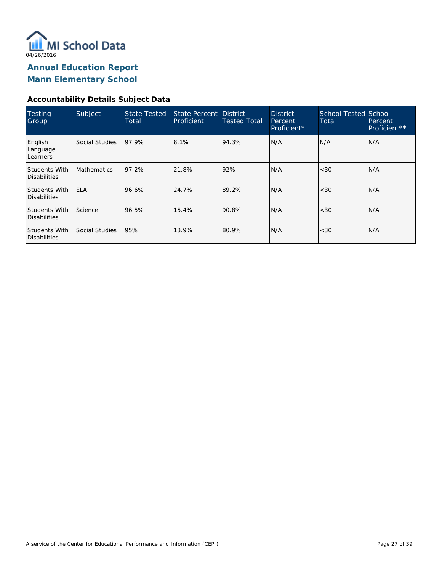

**Mann Elementary School**

### **Accountability Details Subject Data**

| Testing<br>Group                     | Subject            | <b>State Tested</b><br>Total | State Percent District<br>Proficient | <b>Tested Total</b> | <b>District</b><br>Percent,<br>Proficient* | <b>School Tested School</b><br>Total | Percent<br>Proficient** |
|--------------------------------------|--------------------|------------------------------|--------------------------------------|---------------------|--------------------------------------------|--------------------------------------|-------------------------|
| English<br>Language<br>Learners      | Social Studies     | 97.9%                        | 8.1%                                 | 94.3%               | N/A                                        | N/A                                  | N/A                     |
| <b>Students With</b><br>Disabilities | <b>Mathematics</b> | 97.2%                        | 21.8%                                | 92%                 | N/A                                        | < 30                                 | N/A                     |
| Students With<br>Disabilities        | <b>IELA</b>        | 96.6%                        | 24.7%                                | 89.2%               | N/A                                        | < 30                                 | IN/A                    |
| <b>Students With</b><br>Disabilities | Science            | 96.5%                        | 15.4%                                | 90.8%               | N/A                                        | < 30                                 | N/A                     |
| Students With<br>Disabilities        | Social Studies     | 95%                          | 13.9%                                | 80.9%               | N/A                                        | < 30                                 | N/A                     |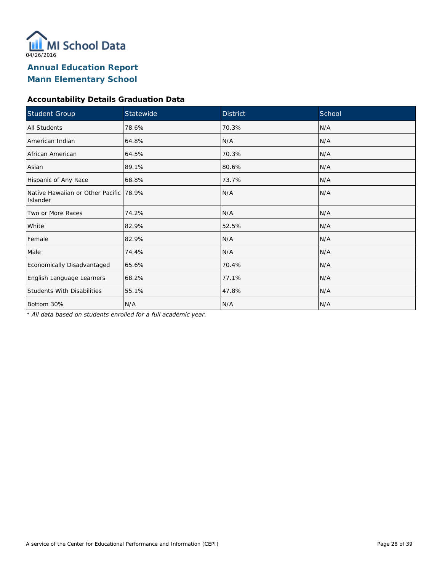

### **Accountability Details Graduation Data**

| Student Group                                      | Statewide | <b>District</b> | School |  |
|----------------------------------------------------|-----------|-----------------|--------|--|
| <b>All Students</b>                                | 78.6%     | 70.3%           | N/A    |  |
| American Indian                                    | 64.8%     | N/A             | N/A    |  |
| African American                                   | 64.5%     | 70.3%           | N/A    |  |
| Asian                                              | 89.1%     | 80.6%           | N/A    |  |
| Hispanic of Any Race                               | 68.8%     | 73.7%           | N/A    |  |
| Native Hawaiian or Other Pacific 78.9%<br>Islander |           | N/A             | N/A    |  |
| Two or More Races                                  | 74.2%     | N/A             | N/A    |  |
| White                                              | 82.9%     | 52.5%           | N/A    |  |
| Female                                             | 82.9%     | N/A             | N/A    |  |
| Male                                               | 74.4%     | N/A             | N/A    |  |
| Economically Disadvantaged                         | 65.6%     | 70.4%           | N/A    |  |
| English Language Learners                          | 68.2%     | 77.1%           | N/A    |  |
| <b>Students With Disabilities</b>                  | 55.1%     | 47.8%           | N/A    |  |
| Bottom 30%                                         | N/A       | N/A             | N/A    |  |

*\* All data based on students enrolled for a full academic year.*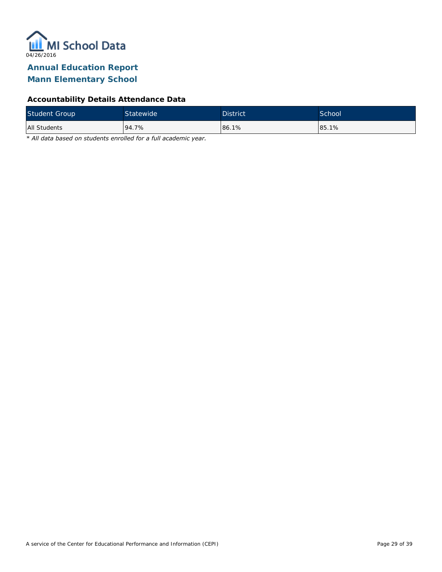

### **Mann Elementary School**

### **Accountability Details Attendance Data**

| <b>Student Group</b> | <b>Statewide</b> | <b>District</b> | School |
|----------------------|------------------|-----------------|--------|
| All Students         | 94.7%            | 86.1%           | 85.1%  |

*\* All data based on students enrolled for a full academic year.*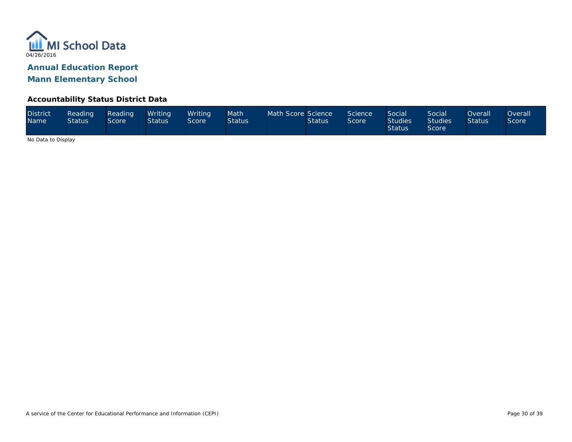

#### **Accountability Status District Data**

| <b>District</b><br><b>Name</b> | Reading<br><b>Status</b> | Reading<br>Score <sup>1</sup> | Writina<br><b>Status</b> | Writina<br>Score | Math<br><b>Status</b> | Math Score Science | <b>Status</b> | Science<br>Score | Social<br><b>Studies</b><br><b>Status</b> | Social<br><b>Studies</b><br><b>Score</b> | <b>Overall</b><br><b>Status</b> | <b>Overall</b><br>Score |
|--------------------------------|--------------------------|-------------------------------|--------------------------|------------------|-----------------------|--------------------|---------------|------------------|-------------------------------------------|------------------------------------------|---------------------------------|-------------------------|
|--------------------------------|--------------------------|-------------------------------|--------------------------|------------------|-----------------------|--------------------|---------------|------------------|-------------------------------------------|------------------------------------------|---------------------------------|-------------------------|

No Data to Display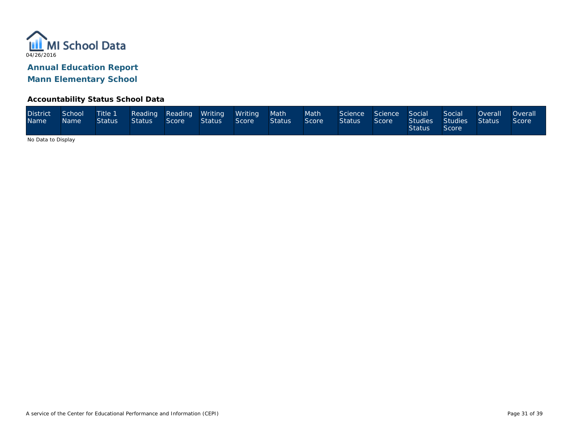

#### **Accountability Status School Data**

| <b>District</b><br><b>Name</b> | School<br><b>Name</b> | Title 1<br>Status I | <b>Status</b> | Score | Reading Reading Writing Writing Math<br><b>Status</b> | Score | Status | Math<br>Score | <b>Status</b> | Science Science Social<br>Score | <b>Status</b> | Social<br>Studies Studies Status<br>Score | Overall <u>Le</u> | <b>Overall</b><br>Score |
|--------------------------------|-----------------------|---------------------|---------------|-------|-------------------------------------------------------|-------|--------|---------------|---------------|---------------------------------|---------------|-------------------------------------------|-------------------|-------------------------|
|--------------------------------|-----------------------|---------------------|---------------|-------|-------------------------------------------------------|-------|--------|---------------|---------------|---------------------------------|---------------|-------------------------------------------|-------------------|-------------------------|

No Data to Display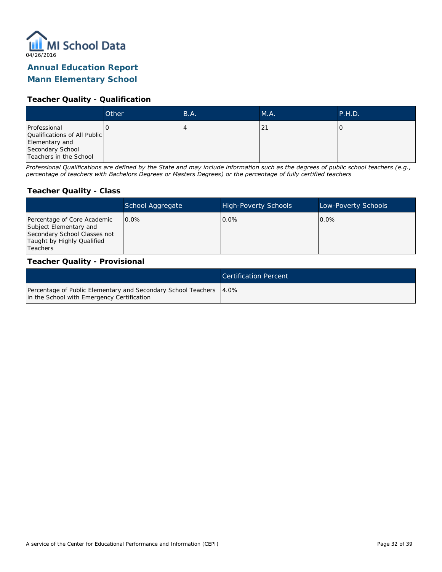

### **Mann Elementary School**

#### **Teacher Quality - Qualification**

|                                                                | Other | B.A. | M.A.       | P.H.D. |
|----------------------------------------------------------------|-------|------|------------|--------|
| Professional<br>Qualifications of All Public<br>Elementary and |       |      | $\epsilon$ |        |
| Secondary School<br>Teachers in the School                     |       |      |            |        |

*Professional Qualifications are defined by the State and may include information such as the degrees of public school teachers (e.g., percentage of teachers with Bachelors Degrees or Masters Degrees) or the percentage of fully certified teachers*

#### **Teacher Quality - Class**

|                                                                                                                                   | School Aggregate | <b>High-Poverty Schools</b> | Low-Poverty Schools |
|-----------------------------------------------------------------------------------------------------------------------------------|------------------|-----------------------------|---------------------|
| Percentage of Core Academic<br>Subject Elementary and<br>Secondary School Classes not<br>Taught by Highly Qualified<br>l Teachers | $0.0\%$          | $0.0\%$                     | $0.0\%$             |

#### **Teacher Quality - Provisional**

|                                                                                                                  | <b>Certification Percent</b> |
|------------------------------------------------------------------------------------------------------------------|------------------------------|
| Percentage of Public Elementary and Secondary School Teachers 4.0%<br>in the School with Emergency Certification |                              |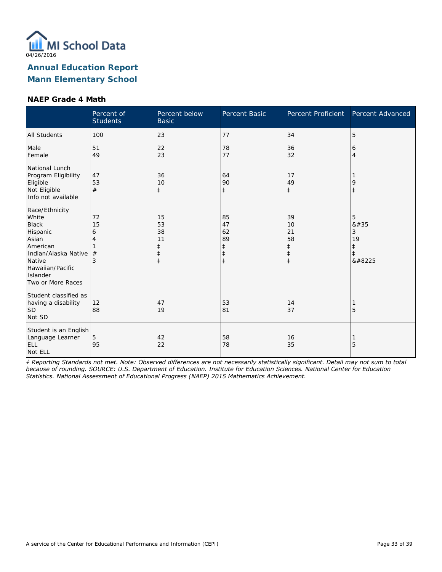

#### **NAEP Grade 4 Math**

|                                                                                                                                                                 | Percent of<br><b>Students</b> | Percent below<br><b>Basic</b>                    | Percent Basic                                                  | Percent Proficient                                             | Percent Advanced                        |
|-----------------------------------------------------------------------------------------------------------------------------------------------------------------|-------------------------------|--------------------------------------------------|----------------------------------------------------------------|----------------------------------------------------------------|-----------------------------------------|
| <b>All Students</b>                                                                                                                                             | 100                           | 23                                               | 77                                                             | 34                                                             | 5                                       |
| Male<br>Female                                                                                                                                                  | 51<br>49                      | 22<br>23                                         | 78<br>77                                                       | 36<br>32                                                       | 6<br>$\overline{4}$                     |
| National Lunch<br>Program Eligibility<br>Eligible<br>Not Eligible<br>Info not available                                                                         | 47<br>53<br>#                 | 36<br>10<br>$\ddagger$                           | 64<br>90<br>$\ddagger$                                         | 17<br>49<br>$\ddagger$                                         | 9<br>$\ddagger$                         |
| Race/Ethnicity<br>White<br><b>Black</b><br>Hispanic<br>Asian<br>American<br>Indian/Alaska Native<br>Native<br>Hawaiian/Pacific<br>Islander<br>Two or More Races | 72<br>15<br>6<br>4<br>#<br>3  | 15<br>53<br>38<br>11<br>$\ddagger$<br>$\ddagger$ | 85<br>47<br>62<br>89<br>$\ddagger$<br>$\ddagger$<br>$\ddagger$ | 39<br>10<br>21<br>58<br>$\ddagger$<br>$\ddagger$<br>$\ddagger$ | 5<br>8#35<br>3<br>19<br>$\ddagger$<br>‡ |
| Student classified as<br>having a disability<br><b>SD</b><br>Not SD                                                                                             | 12<br>88                      | 47<br>19                                         | 53<br>81                                                       | 14<br>37                                                       | 5                                       |
| Student is an English<br>Language Learner<br><b>ELL</b><br>Not ELL                                                                                              | 5<br>95                       | 42<br>22                                         | 58<br>78                                                       | 16<br>35                                                       | 5                                       |

*‡ Reporting Standards not met. Note: Observed differences are not necessarily statistically significant. Detail may not sum to total because of rounding. SOURCE: U.S. Department of Education. Institute for Education Sciences. National Center for Education Statistics. National Assessment of Educational Progress (NAEP) 2015 Mathematics Achievement.*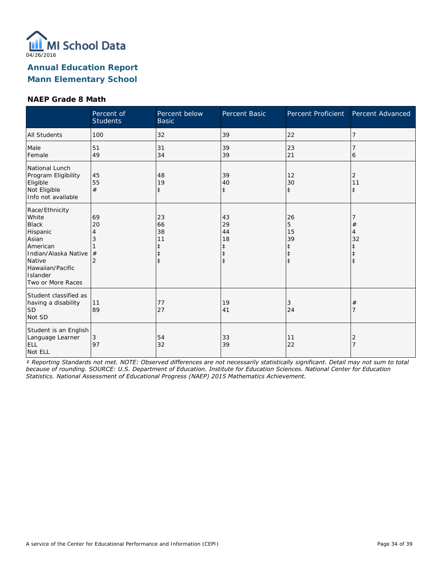

#### **NAEP Grade 8 Math**

|                                                                                                                                                                 | Percent of<br><b>Students</b>             | Percent below<br><b>Basic</b>                    | Percent Basic                                | Percent Proficient                     | Percent Advanced      |
|-----------------------------------------------------------------------------------------------------------------------------------------------------------------|-------------------------------------------|--------------------------------------------------|----------------------------------------------|----------------------------------------|-----------------------|
| <b>All Students</b>                                                                                                                                             | 100                                       | 32                                               | 39                                           | 22                                     | 7                     |
| Male<br>Female                                                                                                                                                  | 51<br>49                                  | 31<br>34                                         | 39<br>39                                     | 23<br>21                               | 6                     |
| National Lunch<br>Program Eligibility<br>Eligible<br>Not Eligible<br>Info not available                                                                         | 45<br>55<br>#                             | 48<br>19<br>$\ddagger$                           | 39<br>40<br>$\ddagger$                       | 12<br>30<br>$\ddagger$                 | 2<br>11<br>$\ddagger$ |
| Race/Ethnicity<br>White<br><b>Black</b><br>Hispanic<br>Asian<br>American<br>Indian/Alaska Native<br>Native<br>Hawaiian/Pacific<br>Islander<br>Two or More Races | 69<br>20<br>4<br>3<br>#<br>$\overline{2}$ | 23<br>66<br>38<br>11<br>ŧ<br>$\ddagger$<br>$\pm$ | 43<br>29<br>44<br>18<br>ŧ<br>ŧ<br>$\ddagger$ | 26<br>5<br>15<br>39<br>ŧ<br>$\ddagger$ | #<br>4<br>32          |
| Student classified as<br>having a disability<br>SD <sup>1</sup><br>Not SD                                                                                       | 11<br>89                                  | 77<br>27                                         | 19<br>41                                     | 3<br>24                                | #                     |
| Student is an English<br>Language Learner<br><b>ELL</b><br>Not ELL                                                                                              | 3<br>97                                   | 54<br>32                                         | 33<br>39                                     | 11<br>22                               | 2                     |

*‡ Reporting Standards not met. NOTE: Observed differences are not necessarily statistically significant. Detail may not sum to total because of rounding. SOURCE: U.S. Department of Education. Institute for Education Sciences. National Center for Education Statistics. National Assessment of Educational Progress (NAEP) 2015 Mathematics Achievement.*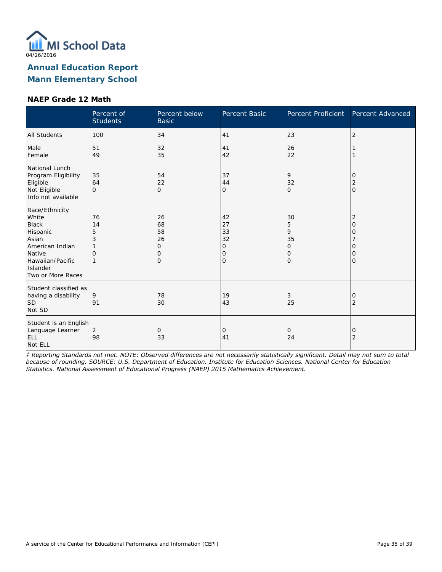

#### **NAEP Grade 12 Math**

|                                                                                                                                                | Percent of<br><b>Students</b> | Percent below<br><b>Basic</b>              | Percent Basic                                   | Percent Proficient                                   | Percent Advanced           |
|------------------------------------------------------------------------------------------------------------------------------------------------|-------------------------------|--------------------------------------------|-------------------------------------------------|------------------------------------------------------|----------------------------|
| <b>All Students</b>                                                                                                                            | 100                           | 34                                         | 41                                              | 23                                                   | 2                          |
| Male<br>Female                                                                                                                                 | 51<br>49                      | 32<br>35                                   | 41<br>42                                        | 26<br>22                                             |                            |
| National Lunch<br>Program Eligibility<br>Eligible<br>Not Eligible<br>Info not available                                                        | 35<br>64<br>$\Omega$          | 54<br>22<br>$\overline{O}$                 | 37<br>44<br>0                                   | 9<br>32<br>$\Omega$                                  | 0<br>2<br>$\mathbf{O}$     |
| Race/Ethnicity<br>White<br><b>Black</b><br>Hispanic<br>Asian<br>American Indian<br>Native<br>Hawaiian/Pacific<br>Islander<br>Two or More Races | 76<br>14<br>5<br>3<br>O       | 26<br>68<br>58<br>26<br>Ω<br>O<br>$\Omega$ | 42<br>27<br>33<br>32<br>0<br>0<br>$\mathcal{O}$ | 30<br>5<br>9<br>35<br>$\circ$<br>$\circ$<br>$\Omega$ | 2<br>O<br>Ω<br>O<br>Ω<br>0 |
| Student classified as<br>having a disability<br><b>SD</b><br>Not SD                                                                            | 9<br>91                       | 78<br>30                                   | 19<br>43                                        | 3<br>25                                              | 0<br>2                     |
| Student is an English<br>Language Learner<br>ELL<br>Not ELL                                                                                    | $\overline{2}$<br>98          | 0<br>33                                    | 0<br>41                                         | 0<br>24                                              | 0<br>2                     |

*‡ Reporting Standards not met. NOTE: Observed differences are not necessarily statistically significant. Detail may not sum to total because of rounding. SOURCE: U.S. Department of Education. Institute for Education Sciences. National Center for Education Statistics. National Assessment of Educational Progress (NAEP) 2015 Mathematics Achievement.*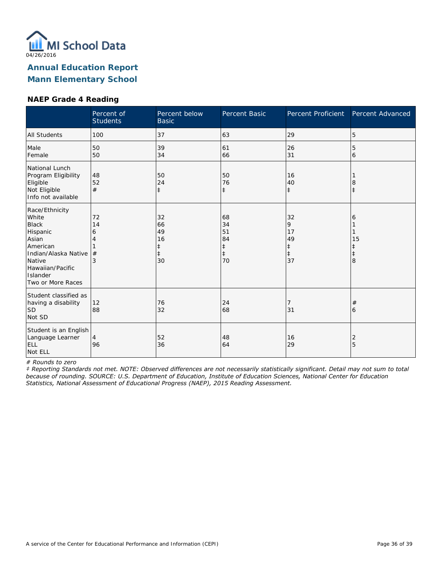

#### **NAEP Grade 4 Reading**

|                                                                                                                                                                        | Percent of<br><b>Students</b> | Percent below<br><b>Basic</b>            | Percent Basic                                          | Percent Proficient                           | Percent Advanced |
|------------------------------------------------------------------------------------------------------------------------------------------------------------------------|-------------------------------|------------------------------------------|--------------------------------------------------------|----------------------------------------------|------------------|
| All Students                                                                                                                                                           | 100                           | 37                                       | 63                                                     | 29                                           | 5                |
| Male<br>Female                                                                                                                                                         | 50<br>50                      | 39<br>34                                 | 61<br>66                                               | 26<br>31                                     | 5<br>6           |
| National Lunch<br>Program Eligibility<br>Eligible<br>Not Eligible<br>Info not available                                                                                | 48<br>52<br>#                 | 50<br>24<br>$\ddagger$                   | 50<br>76<br>$\ddagger$                                 | 16<br>40<br>$\ddagger$                       | 8<br>$\pm$       |
| Race/Ethnicity<br>White<br><b>Black</b><br>Hispanic<br>Asian<br>American<br>Indian/Alaska Native<br>Native<br>Hawaiian/Pacific<br><b>Islander</b><br>Two or More Races | 72<br>14<br>6<br>#<br>3       | 32<br>66<br>49<br>16<br>$\ddagger$<br>30 | 68<br>34<br>51<br>84<br>$\ddagger$<br>$\ddagger$<br>70 | 32<br>9<br>17<br>49<br>‡<br>$\ddagger$<br>37 | 6<br>15<br>8     |
| Student classified as<br>having a disability<br><b>SD</b><br>Not SD                                                                                                    | 12<br>88                      | 76<br>32                                 | 24<br>68                                               | 7<br>31                                      | #<br>6           |
| Student is an English<br>Language Learner<br>ELL<br>Not ELL                                                                                                            | $\overline{4}$<br>96          | 52<br>36                                 | 48<br>64                                               | 16<br>29                                     | 2<br>5           |

*# Rounds to zero*

*‡ Reporting Standards not met. NOTE: Observed differences are not necessarily statistically significant. Detail may not sum to total because of rounding. SOURCE: U.S. Department of Education, Institute of Education Sciences, National Center for Education Statistics, National Assessment of Educational Progress (NAEP), 2015 Reading Assessment.*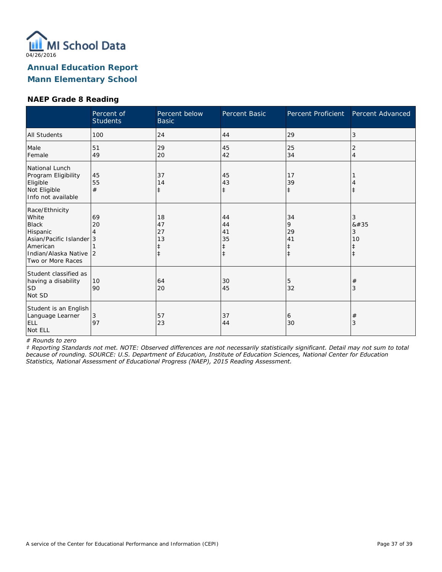

## **NAEP Grade 8 Reading**

|                                                                                                                                            | Percent of<br><b>Students</b> | Percent below<br><b>Basic</b>      | Percent Basic                           | Percent Proficient                              | Percent Advanced                |
|--------------------------------------------------------------------------------------------------------------------------------------------|-------------------------------|------------------------------------|-----------------------------------------|-------------------------------------------------|---------------------------------|
| <b>All Students</b>                                                                                                                        | 100                           | 24                                 | 44                                      | 29                                              | 3                               |
| Male<br>Female                                                                                                                             | 51<br>49                      | 29<br>20                           | 45<br>42                                | 25<br>34                                        | 2<br>4                          |
| National Lunch<br>Program Eligibility<br>Eligible<br>Not Eligible<br>Info not available                                                    | 45<br>55<br>#                 | 37<br>14<br>ŧ                      | 45<br>43<br>$\ddagger$                  | 17<br>39<br>$\ddagger$                          |                                 |
| Race/Ethnicity<br>White<br><b>Black</b><br>Hispanic<br>Asian/Pacific Islander 3<br>American<br>Indian/Alaska Native 2<br>Two or More Races | 69<br>20<br>4                 | 18<br>47<br>27<br>13<br>$\ddagger$ | 44<br>44<br>41<br>35<br>‡<br>$\ddagger$ | 34<br>9<br>29<br>41<br>$\ddagger$<br>$\ddagger$ | 3<br>#<br>3<br>10<br>$\ddagger$ |
| Student classified as<br>having a disability<br> SD<br>Not SD                                                                              | 10<br>90                      | 64<br>20                           | 30<br>45                                | 5<br>32                                         | $^{\#}$<br>3                    |
| Student is an English<br>Language Learner<br><b>ELL</b><br>Not ELL                                                                         | 3<br>97                       | 57<br>23                           | 37<br>44                                | 6<br>30                                         | #<br>3                          |

*# Rounds to zero*

*‡ Reporting Standards not met. NOTE: Observed differences are not necessarily statistically significant. Detail may not sum to total because of rounding. SOURCE: U.S. Department of Education, Institute of Education Sciences, National Center for Education Statistics, National Assessment of Educational Progress (NAEP), 2015 Reading Assessment.*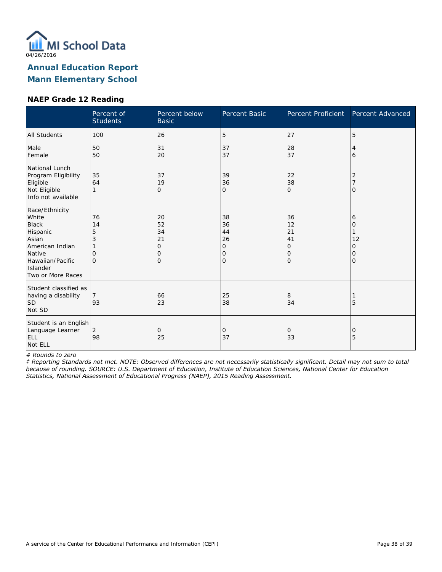

# **Mann Elementary School**

#### **NAEP Grade 12 Reading**

|                                                                                                                                                | Percent of<br><b>Students</b>       | Percent below<br><b>Basic</b>       | <b>Percent Basic</b>                            | Percent Proficient                                     | Percent Advanced            |
|------------------------------------------------------------------------------------------------------------------------------------------------|-------------------------------------|-------------------------------------|-------------------------------------------------|--------------------------------------------------------|-----------------------------|
| <b>All Students</b>                                                                                                                            | 100                                 | 26                                  | 5                                               | 27                                                     | 5                           |
| Male<br>Female                                                                                                                                 | 50<br>50                            | 31<br>20                            | 37<br>37                                        | 28<br>37                                               | 4<br>6                      |
| National Lunch<br>Program Eligibility<br>Eligible<br>Not Eligible<br>Info not available                                                        | 35<br>64                            | 37<br>19<br>0                       | 39<br>36<br>0                                   | 22<br>38<br>$\Omega$                                   | 2<br>$\Omega$               |
| Race/Ethnicity<br>White<br><b>Black</b><br>Hispanic<br>Asian<br>American Indian<br>Native<br>Hawaiian/Pacific<br>Islander<br>Two or More Races | 76<br>14<br>5<br>3<br>0<br>$\Omega$ | 20<br>52<br>34<br>21<br>0<br>0<br>Ω | 38<br>36<br>44<br>26<br>0<br>0<br>$\mathcal{O}$ | 36<br>12<br>21<br>41<br>$\circ$<br>$\circ$<br>$\Omega$ | 6<br>0<br>12<br>O<br>0<br>0 |
| Student classified as<br>having a disability<br> SD<br>Not SD                                                                                  | 7<br>93                             | 66<br>23                            | 25<br>38                                        | 8<br>34                                                | 5                           |
| Student is an English<br>Language Learner<br>ELL<br>Not ELL                                                                                    | 2<br>98                             | 0<br>25                             | 0<br>37                                         | $\circ$<br>33                                          | 0<br>5                      |

*# Rounds to zero*

*‡ Reporting Standards not met. NOTE: Observed differences are not necessarily statistically significant. Detail may not sum to total because of rounding. SOURCE: U.S. Department of Education, Institute of Education Sciences, National Center for Education Statistics, National Assessment of Educational Progress (NAEP), 2015 Reading Assessment.*